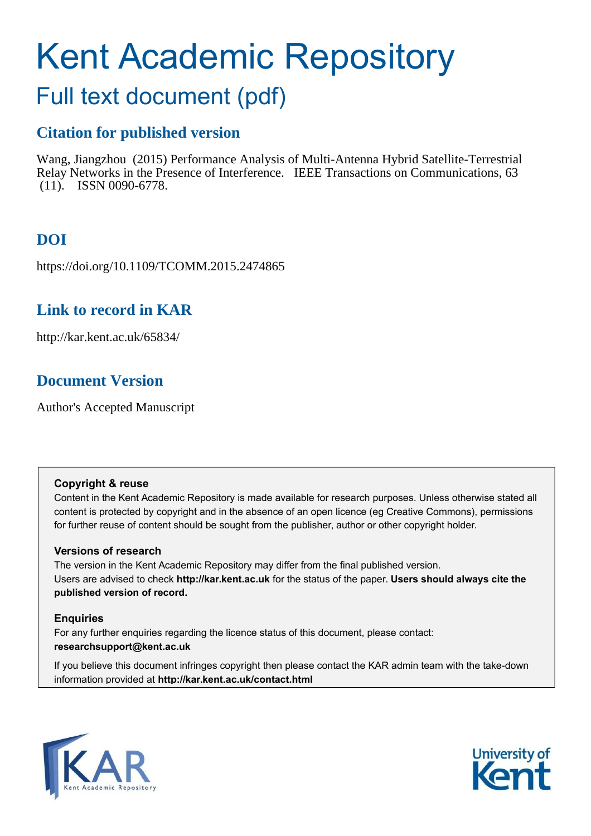# Kent Academic Repository

## Full text document (pdf)

## **Citation for published version**

Wang, Jiangzhou (2015) Performance Analysis of Multi-Antenna Hybrid Satellite-Terrestrial Relay Networks in the Presence of Interference. IEEE Transactions on Communications, 63 (11). ISSN 0090-6778.

## **DOI**

https://doi.org/10.1109/TCOMM.2015.2474865

## **Link to record in KAR**

http://kar.kent.ac.uk/65834/

## **Document Version**

Author's Accepted Manuscript

#### **Copyright & reuse**

Content in the Kent Academic Repository is made available for research purposes. Unless otherwise stated all content is protected by copyright and in the absence of an open licence (eg Creative Commons), permissions for further reuse of content should be sought from the publisher, author or other copyright holder.

#### **Versions of research**

The version in the Kent Academic Repository may differ from the final published version. Users are advised to check **http://kar.kent.ac.uk** for the status of the paper. **Users should always cite the published version of record.**

#### **Enquiries**

For any further enquiries regarding the licence status of this document, please contact: **researchsupport@kent.ac.uk**

If you believe this document infringes copyright then please contact the KAR admin team with the take-down information provided at **http://kar.kent.ac.uk/contact.html**



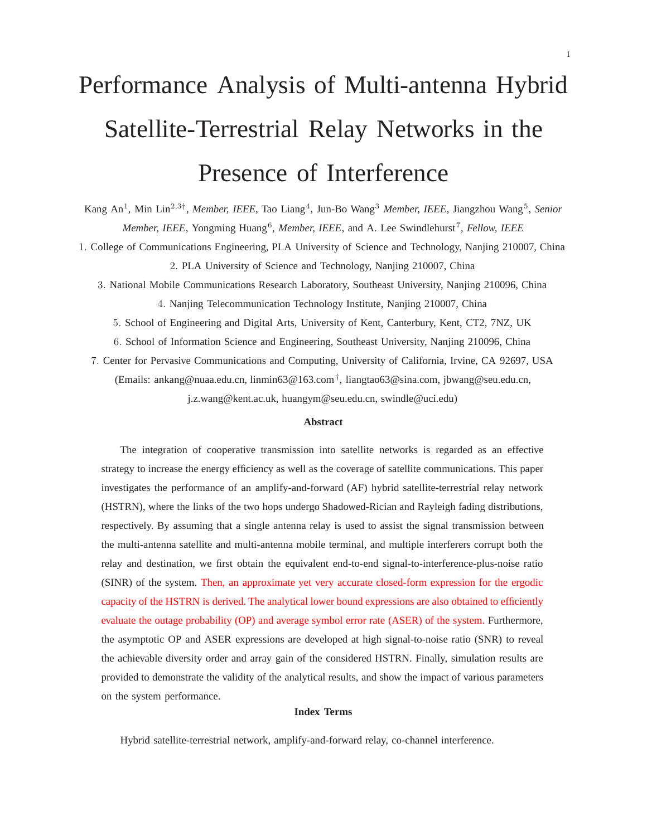## Performance Analysis of Multi-antenna Hybrid Satellite-Terrestrial Relay Networks in the Presence of Interference

Kang An<sup>1</sup>, Min Lin<sup>2,3†</sup>, *Member, IEEE*, Tao Liang<sup>4</sup>, Jun-Bo Wang<sup>3</sup> Member, IEEE, Jiangzhou Wang<sup>5</sup>, Senior Member, IEEE, Yongming Huang<sup>6</sup>, Member, IEEE, and A. Lee Swindlehurst<sup>7</sup>, Fellow, IEEE

1. College of Communications Engineering, PLA University of Science and Technology, Nanjing 210007, China 2. PLA University of Science and Technology, Nanjing 210007, China

3. National Mobile Communications Research Laboratory, Southeast University, Nanjing 210096, China 4. Nanjing Telecommunication Technology Institute, Nanjing 210007, China

5. School of Engineering and Digital Arts, University of Kent, Canterbury, Kent, CT2, 7NZ, UK

6. School of Information Science and Engineering, Southeast University, Nanjing 210096, China

7. Center for Pervasive Communications and Computing, University of California, Irvine, CA 92697, USA (Emails: ankang@nuaa.edu.cn, linmin63@163.com† , liangtao63@sina.com, jbwang@seu.edu.cn, j.z.wang@kent.ac.uk, huangym@seu.edu.cn, swindle@uci.edu)

#### **Abstract**

The integration of cooperative transmission into satellite networks is regarded as an effective strategy to increase the energy efficiency as well as the coverage of satellite communications. This paper investigates the performance of an amplify-and-forward (AF) hybrid satellite-terrestrial relay network (HSTRN), where the links of the two hops undergo Shadowed-Rician and Rayleigh fading distributions, respectively. By assuming that a single antenna relay is used to assist the signal transmission between the multi-antenna satellite and multi-antenna mobile terminal, and multiple interferers corrupt both the relay and destination, we first obtain the equivalent end-to-end signal-to-interference-plus-noise ratio (SINR) of the system. Then, an approximate yet very accurate closed-form expression for the ergodic capacity of the HSTRN is derived. The analytical lower bound expressions are also obtained to efficiently evaluate the outage probability (OP) and average symbol error rate (ASER) of the system. Furthermore, the asymptotic OP and ASER expressions are developed at high signal-to-noise ratio (SNR) to reveal the achievable diversity order and array gain of the considered HSTRN. Finally, simulation results are provided to demonstrate the validity of the analytical results, and show the impact of various parameters on the system performance.

#### **Index Terms**

Hybrid satellite-terrestrial network, amplify-and-forward relay, co-channel interference.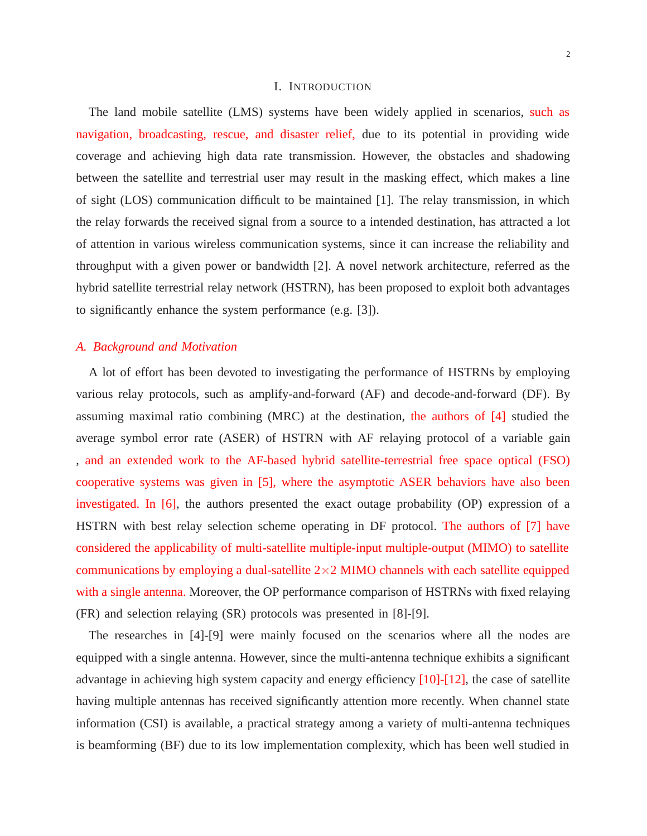#### I. INTRODUCTION

The land mobile satellite (LMS) systems have been widely applied in scenarios, such as navigation, broadcasting, rescue, and disaster relief, due to its potential in providing wide coverage and achieving high data rate transmission. However, the obstacles and shadowing between the satellite and terrestrial user may result in the masking effect, which makes a line of sight (LOS) communication difficult to be maintained [1]. The relay transmission, in which the relay forwards the received signal from a source to a intended destination, has attracted a lot of attention in various wireless communication systems, since it can increase the reliability and throughput with a given power or bandwidth [2]. A novel network architecture, referred as the hybrid satellite terrestrial relay network (HSTRN), has been proposed to exploit both advantages to significantly enhance the system performance (e.g. [3]).

#### *A. Background and Motivation*

A lot of effort has been devoted to investigating the performance of HSTRNs by employing various relay protocols, such as amplify-and-forward (AF) and decode-and-forward (DF). By assuming maximal ratio combining (MRC) at the destination, the authors of [4] studied the average symbol error rate (ASER) of HSTRN with AF relaying protocol of a variable gain , and an extended work to the AF-based hybrid satellite-terrestrial free space optical (FSO) cooperative systems was given in [5], where the asymptotic ASER behaviors have also been investigated. In [6], the authors presented the exact outage probability (OP) expression of a HSTRN with best relay selection scheme operating in DF protocol. The authors of [7] have considered the applicability of multi-satellite multiple-input multiple-output (MIMO) to satellite communications by employing a dual-satellite  $2\times 2$  MIMO channels with each satellite equipped with a single antenna. Moreover, the OP performance comparison of HSTRNs with fixed relaying (FR) and selection relaying (SR) protocols was presented in [8]-[9].

The researches in [4]-[9] were mainly focused on the scenarios where all the nodes are equipped with a single antenna. However, since the multi-antenna technique exhibits a significant advantage in achieving high system capacity and energy efficiency [10]-[12], the case of satellite having multiple antennas has received significantly attention more recently. When channel state information (CSI) is available, a practical strategy among a variety of multi-antenna techniques is beamforming (BF) due to its low implementation complexity, which has been well studied in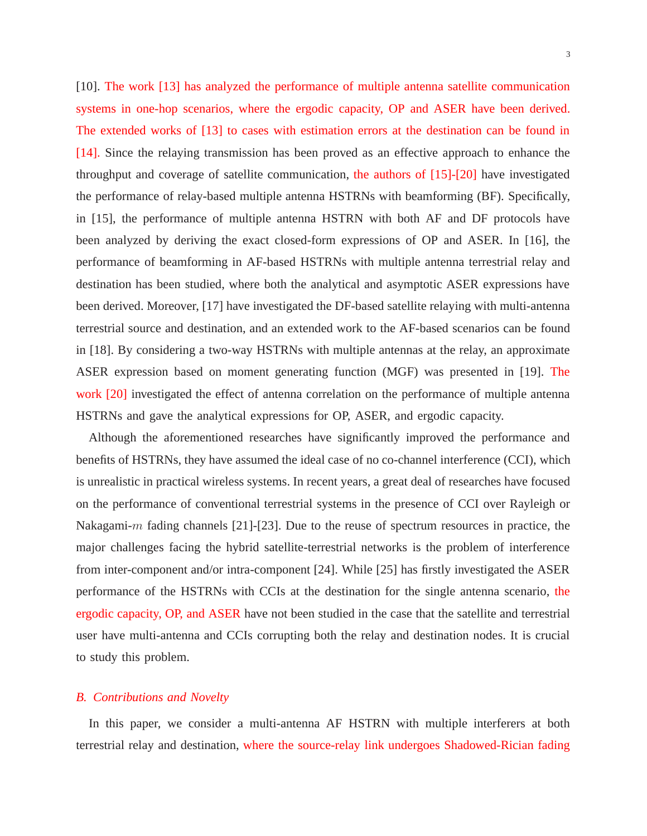3

[10]. The work [13] has analyzed the performance of multiple antenna satellite communication systems in one-hop scenarios, where the ergodic capacity, OP and ASER have been derived. The extended works of [13] to cases with estimation errors at the destination can be found in [14]. Since the relaying transmission has been proved as an effective approach to enhance the throughput and coverage of satellite communication, the authors of [15]-[20] have investigated the performance of relay-based multiple antenna HSTRNs with beamforming (BF). Specifically, in [15], the performance of multiple antenna HSTRN with both AF and DF protocols have been analyzed by deriving the exact closed-form expressions of OP and ASER. In [16], the performance of beamforming in AF-based HSTRNs with multiple antenna terrestrial relay and destination has been studied, where both the analytical and asymptotic ASER expressions have been derived. Moreover, [17] have investigated the DF-based satellite relaying with multi-antenna terrestrial source and destination, and an extended work to the AF-based scenarios can be found in [18]. By considering a two-way HSTRNs with multiple antennas at the relay, an approximate ASER expression based on moment generating function (MGF) was presented in [19]. The work [20] investigated the effect of antenna correlation on the performance of multiple antenna HSTRNs and gave the analytical expressions for OP, ASER, and ergodic capacity.

Although the aforementioned researches have significantly improved the performance and benefits of HSTRNs, they have assumed the ideal case of no co-channel interference (CCI), which is unrealistic in practical wireless systems. In recent years, a great deal of researches have focused on the performance of conventional terrestrial systems in the presence of CCI over Rayleigh or Nakagami-m fading channels [21]-[23]. Due to the reuse of spectrum resources in practice, the major challenges facing the hybrid satellite-terrestrial networks is the problem of interference from inter-component and/or intra-component [24]. While [25] has firstly investigated the ASER performance of the HSTRNs with CCIs at the destination for the single antenna scenario, the ergodic capacity, OP, and ASER have not been studied in the case that the satellite and terrestrial user have multi-antenna and CCIs corrupting both the relay and destination nodes. It is crucial to study this problem.

#### *B. Contributions and Novelty*

In this paper, we consider a multi-antenna AF HSTRN with multiple interferers at both terrestrial relay and destination, where the source-relay link undergoes Shadowed-Rician fading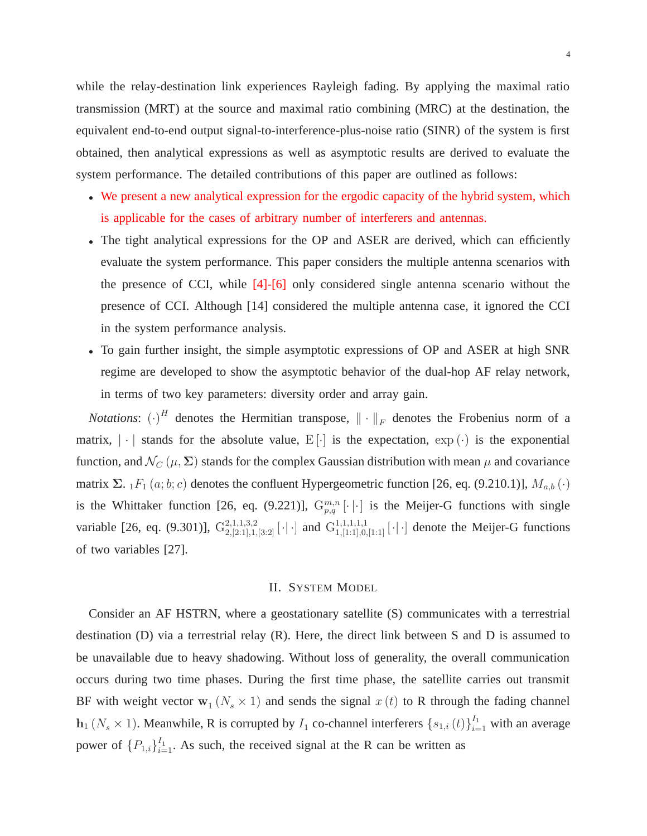while the relay-destination link experiences Rayleigh fading. By applying the maximal ratio transmission (MRT) at the source and maximal ratio combining (MRC) at the destination, the equivalent end-to-end output signal-to-interference-plus-noise ratio (SINR) of the system is first obtained, then analytical expressions as well as asymptotic results are derived to evaluate the system performance. The detailed contributions of this paper are outlined as follows:

- We present a new analytical expression for the ergodic capacity of the hybrid system, which is applicable for the cases of arbitrary number of interferers and antennas.
- The tight analytical expressions for the OP and ASER are derived, which can efficiently evaluate the system performance. This paper considers the multiple antenna scenarios with the presence of CCI, while [4]-[6] only considered single antenna scenario without the presence of CCI. Although [14] considered the multiple antenna case, it ignored the CCI in the system performance analysis.
- To gain further insight, the simple asymptotic expressions of OP and ASER at high SNR regime are developed to show the asymptotic behavior of the dual-hop AF relay network, in terms of two key parameters: diversity order and array gain.

*Notations*:  $(\cdot)^H$  denotes the Hermitian transpose,  $\|\cdot\|_F$  denotes the Frobenius norm of a matrix,  $|\cdot|$  stands for the absolute value, E[ $\cdot$ ] is the expectation,  $\exp(\cdot)$  is the exponential function, and  $\mathcal{N}_{C}(\mu, \Sigma)$  stands for the complex Gaussian distribution with mean  $\mu$  and covariance matrix Σ.  $_1F_1(a; b; c)$  denotes the confluent Hypergeometric function [26, eq. (9.210.1)],  $M_{a,b}(\cdot)$ is the Whittaker function [26, eq. (9.221)],  $G_{p,q}^{m,n}[\cdot | \cdot]$  is the Meijer-G functions with single variable [26, eq. (9.301)],  $G_{2,[2:1],1,[3:2]}^{2,1,1,3,2}$  [·|·] and  $G_{1,[1:1],0,[1:1]}^{1,1,1,1,1}$  [·|·] denote the Meijer-G functions of two variables [27].

#### II. SYSTEM MODEL

Consider an AF HSTRN, where a geostationary satellite (S) communicates with a terrestrial destination (D) via a terrestrial relay (R). Here, the direct link between S and D is assumed to be unavailable due to heavy shadowing. Without loss of generality, the overall communication occurs during two time phases. During the first time phase, the satellite carries out transmit BF with weight vector  $\mathbf{w}_1(N_s \times 1)$  and sends the signal  $x(t)$  to R through the fading channel  $h_1(N_s \times 1)$ . Meanwhile, R is corrupted by  $I_1$  co-channel interferers  $\{s_{1,i}(t)\}_{i=1}^{I_1}$  with an average power of  $\{P_{1,i}\}_{i=1}^{I_1}$ . As such, the received signal at the R can be written as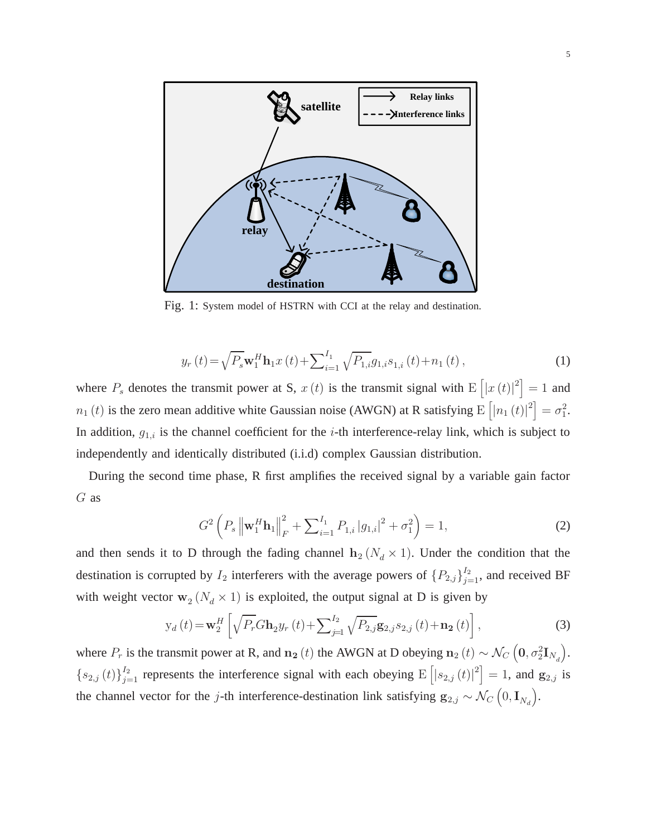

Fig. 1: System model of HSTRN with CCI at the relay and destination.

$$
y_r(t) = \sqrt{P_s} \mathbf{w}_1^H \mathbf{h}_1 x(t) + \sum_{i=1}^{I_1} \sqrt{P_{1,i}} g_{1,i} s_{1,i}(t) + n_1(t) ,
$$
 (1)

where  $P_s$  denotes the transmit power at S,  $x(t)$  is the transmit signal with  $E([x(t)|^2] = 1$  and  $n_1(t)$  is the zero mean additive white Gaussian noise (AWGN) at R satisfying  $E\left[|n_1(t)|^2\right] = \sigma_1^2$ . In addition,  $g_{1,i}$  is the channel coefficient for the *i*-th interference-relay link, which is subject to independently and identically distributed (i.i.d) complex Gaussian distribution.

During the second time phase, R first amplifies the received signal by a variable gain factor G as

$$
G^{2}\left(P_{s}\left\|\mathbf{w}_{1}^{H}\mathbf{h}_{1}\right\|_{F}^{2}+\sum_{i=1}^{I_{1}}P_{1,i}|g_{1,i}|^{2}+\sigma_{1}^{2}\right)=1,
$$
\n(2)

and then sends it to D through the fading channel  $h_2 (N_d \times 1)$ . Under the condition that the destination is corrupted by  $I_2$  interferers with the average powers of  $\{P_{2,j}\}_{j=1}^{I_2}$ , and received BF with weight vector  $\mathbf{w}_2(N_d \times 1)$  is exploited, the output signal at D is given by

$$
y_{d}(t) = \mathbf{w}_{2}^{H} \left[ \sqrt{P_{r}} G \mathbf{h}_{2} y_{r}(t) + \sum_{j=1}^{I_{2}} \sqrt{P_{2,j}} \mathbf{g}_{2,j} s_{2,j}(t) + \mathbf{n}_{2}(t) \right],
$$
\n(3)

where  $P_r$  is the transmit power at R, and  $n_2(t)$  the AWGN at D obeying  $n_2(t) \sim \mathcal{N}_C\left(0, \sigma_2^2 \mathbf{I}_{N_d}\right)$ .  ${s_{2,j}(t)}_{j=1}^{I_2}$  represents the interference signal with each obeying  $E([s_{2,j}(t)|^2] = 1$ , and  $g_{2,j}$  is the channel vector for the j-th interference-destination link satisfying  $g_{2,j} \sim \mathcal{N}_C(0, I_{N_d})$ .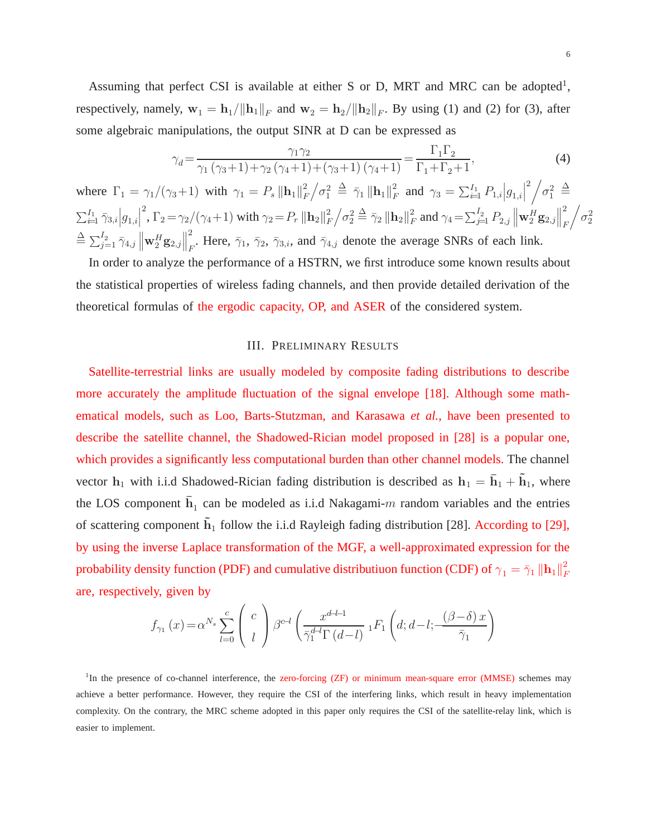Assuming that perfect CSI is available at either S or D, MRT and MRC can be adopted<sup>1</sup>, respectively, namely,  $\mathbf{w}_1 = \mathbf{h}_1 / ||\mathbf{h}_1||_F$  and  $\mathbf{w}_2 = \mathbf{h}_2 / ||\mathbf{h}_2||_F$ . By using (1) and (2) for (3), after some algebraic manipulations, the output SINR at D can be expressed as

$$
\gamma_d = \frac{\gamma_1 \gamma_2}{\gamma_1 \left(\gamma_3 + 1\right) + \gamma_2 \left(\gamma_4 + 1\right) + \left(\gamma_3 + 1\right) \left(\gamma_4 + 1\right)} = \frac{\Gamma_1 \Gamma_2}{\Gamma_1 + \Gamma_2 + 1},\tag{4}
$$

where  $\Gamma_1 = \gamma_1/(\gamma_3 + 1)$  with  $\gamma_1 = P_s \|\mathbf{h}_1\|_F^2$  $\frac{2}{F}\Big/ \sigma_1^2 \ \stackrel{\Delta}{=}\ \bar{\gamma}_1 \, \|\mathbf{h}_1\|_F^2$  $P_F^2$  and  $\gamma_3 = \sum_{i=1}^{I_1} P_{1,i} |g_{1,i}|$  $^{2}/\sigma_{1}^{2} \triangleq$  $\sum_{i=1}^{I_1} \bar{\gamma}_{3,i} \Big| g_{1,i} \Big|$  $\int_{0}^{2}$ ,  $\Gamma_2 = \gamma_2/(\gamma_4 + 1)$  with  $\gamma_2 = P_r \left\| \mathbf{h}_2 \right\|_F^2$  $\frac{2}{F}\Big/ \sigma_2^2 \overset{\Delta}{=}\bar{\gamma}_2 \, \big\| \mathbf{h}_2 \big\|_F^2$  $\sum_{j=1}^{2} P_{2,j} \left\| \mathbf{w}_{2}^{H} \mathbf{g}_{2,j} \right\|$ 2 F  $\sqrt{\sigma_2^2}$  $\triangleq \sum_{j=1}^{I_2} \bar\gamma_{4,j} \left\| \mathbf{w}^H_2 \mathbf{g}_{2,j} \right\|$ 2 F. Here,  $\bar{\gamma}_1$ ,  $\bar{\gamma}_2$ ,  $\bar{\gamma}_3$ , and  $\bar{\gamma}_{4,j}$  denote the average SNRs of each link.

In order to analyze the performance of a HSTRN, we first introduce some known results about the statistical properties of wireless fading channels, and then provide detailed derivation of the theoretical formulas of the ergodic capacity, OP, and ASER of the considered system.

#### III. PRELIMINARY RESULTS

Satellite-terrestrial links are usually modeled by composite fading distributions to describe more accurately the amplitude fluctuation of the signal envelope [18]. Although some mathematical models, such as Loo, Barts-Stutzman, and Karasawa *et al.*, have been presented to describe the satellite channel, the Shadowed-Rician model proposed in [28] is a popular one, which provides a significantly less computational burden than other channel models. The channel vector  $h_1$  with i.i.d Shadowed-Rician fading distribution is described as  $h_1 = \bar{h}_1 + \tilde{h}_1$ , where the LOS component  $\bar{h}_1$  can be modeled as i.i.d Nakagami-m random variables and the entries of scattering component  $\tilde{h}_1$  follow the i.i.d Rayleigh fading distribution [28]. According to [29], by using the inverse Laplace transformation of the MGF, a well-approximated expression for the probability density function (PDF) and cumulative distributiuon function (CDF) of  $\gamma_1 = \bar{\gamma}_1 \left\| \mathbf{h}_1 \right\|_F^2$ F are, respectively, given by

$$
f_{\gamma_1}(x) = \alpha^{N_s} \sum_{l=0}^{c} \begin{pmatrix} c \\ l \end{pmatrix} \beta^{c-l} \left( \frac{x^{d-l-1}}{\overline{\gamma}_1^{d-l} \Gamma(d-l)} {}_1F_1\left(d; d-l; -\frac{(\beta-\delta)x}{\overline{\gamma}_1}\right) \right)
$$

<sup>1</sup>In the presence of co-channel interference, the zero-forcing (ZF) or minimum mean-square error (MMSE) schemes may achieve a better performance. However, they require the CSI of the interfering links, which result in heavy implementation complexity. On the contrary, the MRC scheme adopted in this paper only requires the CSI of the satellite-relay link, which is easier to implement.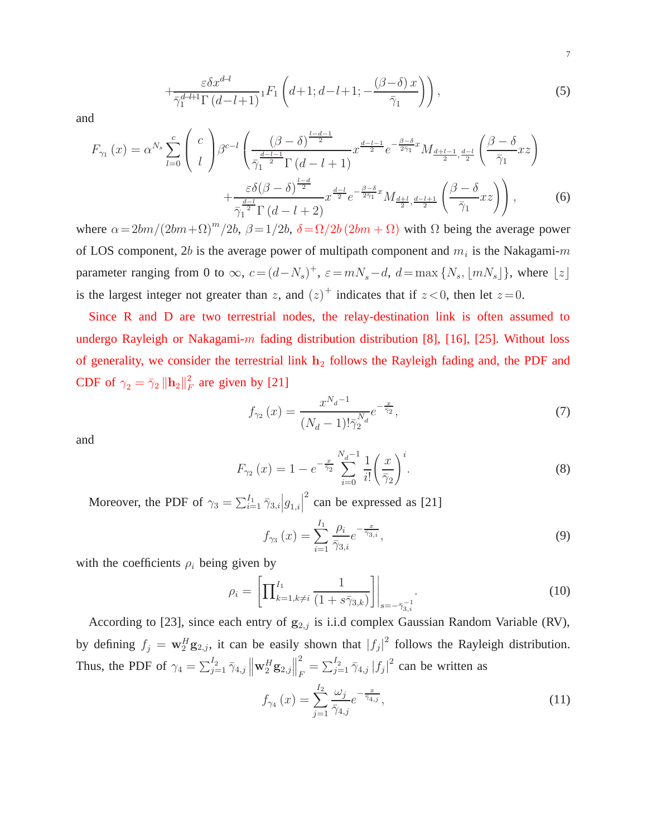$$
+\frac{\varepsilon \delta x^{d-l}}{\bar{\gamma}_1^{d-l+1} \Gamma(d-l+1)} {}_1F_1\left(d+1; d-l+1; -\frac{(\beta-\delta)x}{\bar{\gamma}_1}\right)\right),\tag{5}
$$

and

$$
F_{\gamma_1}(x) = \alpha^{N_s} \sum_{l=0}^{c} \binom{c}{l} \beta^{c-l} \left( \frac{(\beta - \delta)^{\frac{l-d-1}{2}}}{\bar{\gamma_1}^{d-l-1} \Gamma(d-l+1)} x^{\frac{d-l-1}{2}} e^{-\frac{\beta - \delta}{2\bar{\gamma}_1} x} M_{\frac{d+l-1}{2}, \frac{d-l}{2}} \left( \frac{\beta - \delta}{\bar{\gamma}_1} x z \right) + \frac{\varepsilon \delta (\beta - \delta)^{\frac{l-d}{2}}}{\bar{\gamma_1}^{d-l} \Gamma(d-l+2)} x^{\frac{d-l}{2}} e^{-\frac{\beta - \delta}{2\bar{\gamma}_1} x} M_{\frac{d+l}{2}, \frac{d-l+1}{2}} \left( \frac{\beta - \delta}{\bar{\gamma}_1} x z \right) \right), \tag{6}
$$

where  $\alpha = 2bm/(2bm+\Omega)^m/2b$ ,  $\beta = 1/2b$ ,  $\delta = \Omega/2b(2bm+\Omega)$  with  $\Omega$  being the average power of LOS component, 2b is the average power of multipath component and  $m_i$  is the Nakagami-m parameter ranging from 0 to  $\infty$ ,  $c = (d - N_s)^+$ ,  $\varepsilon = mN_s - d$ ,  $d = \max\{N_s, \lfloor mN_s \rfloor\}$ , where  $\lfloor z \rfloor$ is the largest integer not greater than z, and  $(z)^+$  indicates that if  $z < 0$ , then let  $z = 0$ .

Since R and D are two terrestrial nodes, the relay-destination link is often assumed to undergo Rayleigh or Nakagami- $m$  fading distribution distribution [8], [16], [25]. Without loss of generality, we consider the terrestrial link  $h_2$  follows the Rayleigh fading and, the PDF and CDF of  $\gamma_2 = \bar{\gamma}_2 \left\| \mathbf{h}_2 \right\|_F^2$  $\frac{2}{F}$  are given by [21]

$$
f_{\gamma_2}(x) = \frac{x^{N_d - 1}}{(N_d - 1)! \bar{\gamma}_2^{N_d}} e^{-\frac{x}{\bar{\gamma}_2}},\tag{7}
$$

and

$$
F_{\gamma_2}(x) = 1 - e^{-\frac{x}{\bar{\gamma}_2}} \sum_{i=0}^{N_d - 1} \frac{1}{i!} \left(\frac{x}{\bar{\gamma}_2}\right)^i.
$$
 (8)

Moreover, the PDF of  $\gamma_3 = \sum_{i=1}^{I_1} \bar{\gamma}_{3,i} \Big| g_{1,i} \Big|$  $\frac{2}{2}$  can be expressed as [21]

$$
f_{\gamma_3}(x) = \sum_{i=1}^{I_1} \frac{\rho_i}{\bar{\gamma}_{3,i}} e^{-\frac{x}{\bar{\gamma}_{3,i}}},\tag{9}
$$

with the coefficients  $\rho_i$  being given by

$$
\rho_i = \left[ \prod_{k=1, k \neq i}^{I_1} \frac{1}{(1 + s\bar{\gamma}_{3,k})} \right] \Big|_{s = -\bar{\gamma}_{3,i}}.
$$
\n(10)

According to [23], since each entry of  $g_{2,j}$  is i.i.d complex Gaussian Random Variable (RV), by defining  $f_j = \mathbf{w}_2^H \mathbf{g}_{2,j}$ , it can be easily shown that  $|f_j|^2$  follows the Rayleigh distribution. Thus, the PDF of  $\gamma_4 = \sum_{j=1}^{I_2} \bar{\gamma}_{4,j} \left\| \mathbf{w}_2^H \mathbf{g}_{2,j} \right\|$ 2  $\sum_{j=1}^{2} \bar{\gamma}_{4,j} |f_j|^2$  can be written as

$$
f_{\gamma_4}(x) = \sum_{j=1}^{I_2} \frac{\omega_j}{\bar{\gamma}_{4,j}} e^{-\frac{x}{\bar{\gamma}_{4,j}}},\tag{11}
$$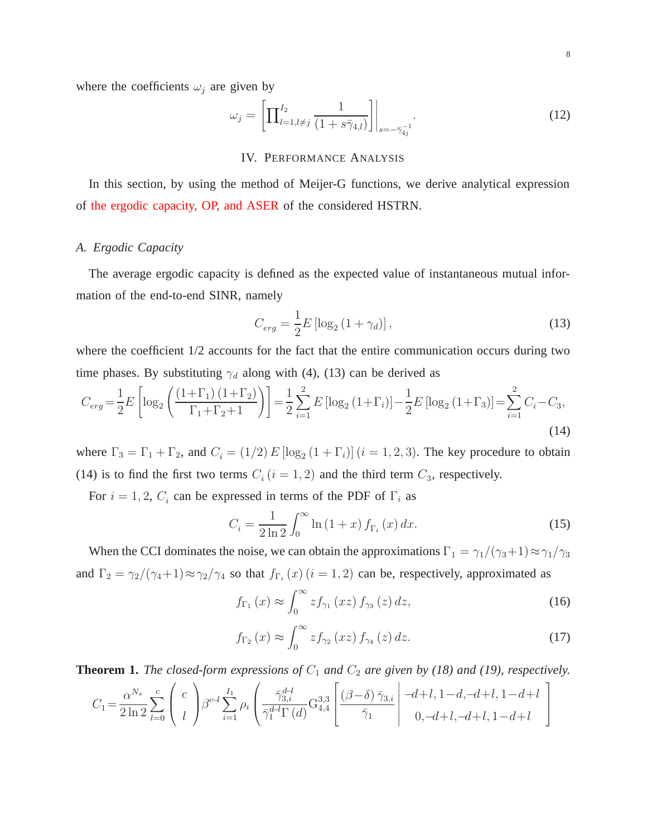where the coefficients  $\omega_j$  are given by

$$
\omega_j = \left[ \prod_{l=1, l \neq j}^{I_2} \frac{1}{(1 + s\bar{\gamma}_{4,l})} \right] \Big|_{s = -\bar{\gamma}_{4j}^{-1}}.
$$
\n(12)

#### IV. PERFORMANCE ANALYSIS

In this section, by using the method of Meijer-G functions, we derive analytical expression of the ergodic capacity, OP, and ASER of the considered HSTRN.

#### *A. Ergodic Capacity*

The average ergodic capacity is defined as the expected value of instantaneous mutual information of the end-to-end SINR, namely

$$
C_{erg} = \frac{1}{2}E\left[\log_2\left(1+\gamma_d\right)\right],\tag{13}
$$

where the coefficient  $1/2$  accounts for the fact that the entire communication occurs during two time phases. By substituting  $\gamma_d$  along with (4), (13) can be derived as

$$
C_{erg} = \frac{1}{2}E\left[\log_2\left(\frac{(1+\Gamma_1)(1+\Gamma_2)}{\Gamma_1+\Gamma_2+1}\right)\right] = \frac{1}{2}\sum_{i=1}^2E\left[\log_2\left(1+\Gamma_i\right)\right] - \frac{1}{2}E\left[\log_2\left(1+\Gamma_3\right)\right] = \sum_{i=1}^2C_i - C_3,
$$
\n(14)

where  $\Gamma_3 = \Gamma_1 + \Gamma_2$ , and  $C_i = (1/2) E [\log_2 (1 + \Gamma_i)]$   $(i = 1, 2, 3)$ . The key procedure to obtain (14) is to find the first two terms  $C_i$  ( $i = 1, 2$ ) and the third term  $C_3$ , respectively.

For  $i = 1, 2, C_i$  can be expressed in terms of the PDF of  $\Gamma_i$  as

$$
C_{i} = \frac{1}{2\ln 2} \int_{0}^{\infty} \ln (1+x) f_{\Gamma_{i}}(x) dx.
$$
 (15)

When the CCI dominates the noise, we can obtain the approximations  $\Gamma_1 = \gamma_1/(\gamma_3+1) \approx \gamma_1/\gamma_3$ and  $\Gamma_2 = \gamma_2/(\gamma_4 + 1) \approx \gamma_2/\gamma_4$  so that  $f_{\Gamma_i}(x)$   $(i = 1, 2)$  can be, respectively, approximated as

$$
f_{\Gamma_1}(x) \approx \int_0^\infty z f_{\gamma_1}(xz) f_{\gamma_3}(z) dz,
$$
 (16)

$$
f_{\Gamma_2}(x) \approx \int_0^\infty z f_{\gamma_2}(xz) f_{\gamma_4}(z) dz.
$$
 (17)

**Theorem 1.** *The closed-form expressions of*  $C_1$  *and*  $C_2$  *are given by (18) and (19), respectively.* 

$$
C_1 = \frac{\alpha^{N_s}}{2 \ln 2} \sum_{l=0}^{c} \binom{c}{l} \beta^{c-l} \sum_{i=1}^{I_1} \rho_i \left( \frac{\bar{\gamma}_{3,i}^{d-l}}{\bar{\gamma}_1^{d-l} \Gamma(d)} \mathbf{G}_{4,4}^{3,3} \left[ \frac{(\beta-\delta) \bar{\gamma}_{3,i}}{\bar{\gamma}_1} \middle| \frac{-d+l, 1-d,-d+l, 1-d+l}{0,-d+l, -d+l, 1-d+l} \right] \right)
$$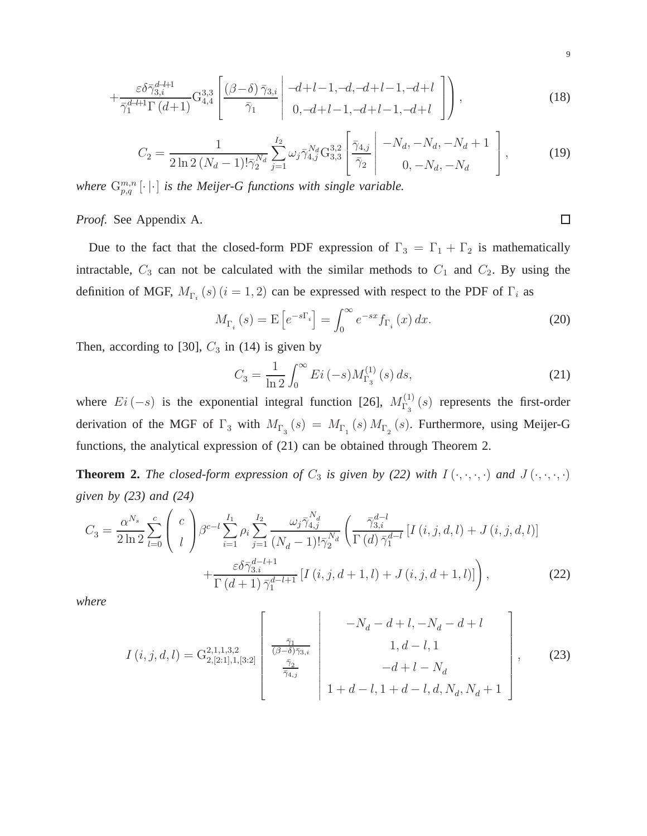$$
+\frac{\varepsilon\delta\bar{\gamma}_{3,i}^{d-l+1}}{\bar{\gamma}_1^{d-l+1}\Gamma(d+1)}\mathcal{G}_{4,4}^{3,3}\left[\frac{(\beta-\delta)\bar{\gamma}_{3,i}}{\bar{\gamma}_1}\bigg|\begin{array}{c}-d+l-1,-d,d+l-1,-d+l\\0,-d+l-1,-d+l-1,-d+l\end{array}\bigg]\right),\tag{18}
$$

$$
C_2 = \frac{1}{2 \ln 2 \left(N_d - 1\right)! \bar{\gamma}_2^{N_d}} \sum_{j=1}^{I_2} \omega_j \bar{\gamma}_{4,j}^{N_d} \mathbf{G}_{3,3}^{3,2} \left[ \frac{\bar{\gamma}_{4,j}}{\bar{\gamma}_2} \middle| \begin{array}{c} -N_d, -N_d, -N_d + 1\\ 0, -N_d, -N_d \end{array} \right],\tag{19}
$$

where  $G_{p,q}^{m,n}$   $[\cdot \,|\cdot]$  *is the Meijer-G functions with single variable.* 

*Proof.* See Appendix A.

Due to the fact that the closed-form PDF expression of  $\Gamma_3 = \Gamma_1 + \Gamma_2$  is mathematically intractable,  $C_3$  can not be calculated with the similar methods to  $C_1$  and  $C_2$ . By using the definition of MGF,  $M_{\Gamma_i}(s)$   $(i = 1, 2)$  can be expressed with respect to the PDF of  $\Gamma_i$  as

$$
M_{\Gamma_i}(s) = \mathcal{E}\left[e^{-s\Gamma_i}\right] = \int_0^\infty e^{-sx} f_{\Gamma_i}(x) \, dx. \tag{20}
$$

Then, according to [30],  $C_3$  in (14) is given by

$$
C_3 = \frac{1}{\ln 2} \int_0^\infty E i \, (-s) M_{\Gamma_3}^{(1)}(s) \, ds,\tag{21}
$$

where  $Ei(-s)$  is the exponential integral function [26],  $M_{\Gamma_3}^{(1)}$  $\Gamma_3^{(1)}(s)$  represents the first-order derivation of the MGF of  $\Gamma_3$  with  $M_{\Gamma_3}(s) = M_{\Gamma_1}(s) M_{\Gamma_2}(s)$ . Furthermore, using Meijer-G functions, the analytical expression of (21) can be obtained through Theorem 2.

**Theorem 2.** *The closed-form expression of*  $C_3$  *is given by (22) with*  $I(\cdot, \cdot, \cdot, \cdot)$  *and*  $J(\cdot, \cdot, \cdot, \cdot)$ *given by (23) and (24)*

$$
C_{3} = \frac{\alpha^{N_{s}}}{2 \ln 2} \sum_{l=0}^{c} \binom{c}{l} \beta^{c-l} \sum_{i=1}^{I_{1}} \rho_{i} \sum_{j=1}^{I_{2}} \frac{\omega_{j} \bar{\gamma}_{4,j}^{N_{d}}}{(N_{d}-1)! \bar{\gamma}_{2}^{N_{d}}} \left( \frac{\bar{\gamma}_{3,i}^{d-l}}{\Gamma(d) \bar{\gamma}_{1}^{d-l}} \left[ I(i,j,d,l) + J(i,j,d,l) \right] + \frac{\varepsilon \delta \bar{\gamma}_{3,i}^{d-l+1}}{\Gamma(d+1) \bar{\gamma}_{1}^{d-l+1}} \left[ I(i,j,d+1,l) + J(i,j,d+1,l) \right] \right), \tag{22}
$$

*where*

$$
I(i,j,d,l) = G_{2,[2:1],1,[3:2]}^{2,1,1,3,2} \left[ \begin{array}{c} -N_d - d + l, -N_d - d + l \\ \frac{\bar{\gamma}_1}{(\beta - \delta)\bar{\gamma}_3,i} \\ \frac{\bar{\gamma}_2}{\bar{\gamma}_{4,j}} \end{array} \right] \begin{array}{c} -N_d - d + l, -N_d - d + l \\ 1, d - l, 1 \\ -d + l - N_d \\ 1 + d - l, 1 + d - l, d, N_d, N_d + 1 \end{array} \right],
$$
(23)

 $\Box$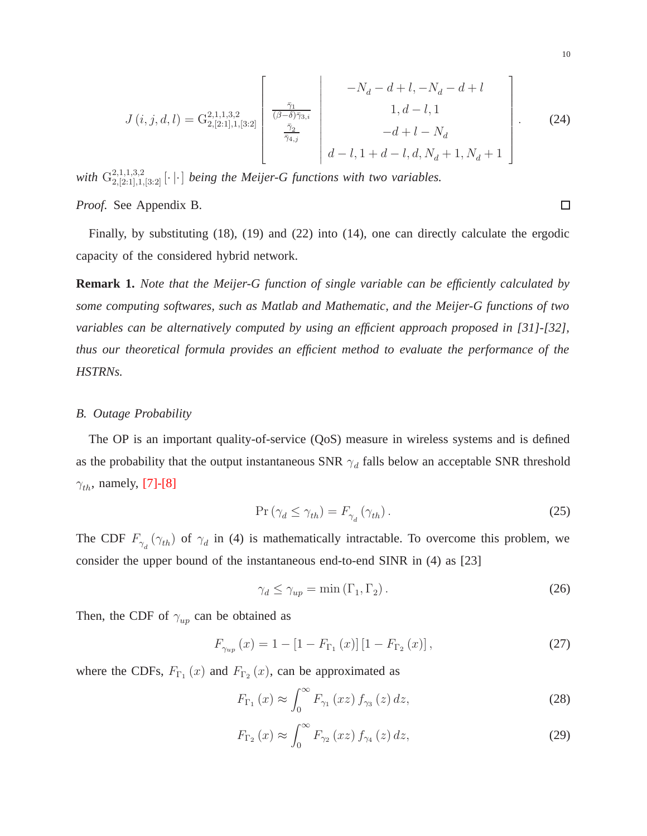$$
J(i,j,d,l) = G_{2,[2:1],1,[3:2]}^{2,1,1,3,2} \begin{bmatrix} \frac{\bar{\gamma}_1}{(\beta-\delta)\bar{\gamma}_{3,i}} \\ \frac{\bar{\gamma}_2}{\bar{\gamma}_{4,j}} \\ \frac{\bar{\gamma}_2}{\bar{\gamma}_{4,j}} \end{bmatrix} \begin{bmatrix} -N_d - d + l, -N_d - d + l \\ 1, d - l, 1 \\ -d + l - N_d \\ d - l, 1 + d - l, d, N_d + 1, N_d + 1 \end{bmatrix} .
$$
 (24)

with  $G_{2,[2:1],1,[3:2]}^{2,1,1,3,2}$  [ $\cdot$ ] *being the Meijer-G functions with two variables.* 

*Proof.* See Appendix B.

Finally, by substituting (18), (19) and (22) into (14), one can directly calculate the ergodic capacity of the considered hybrid network.

**Remark 1.** *Note that the Meijer-G function of single variable can be efficiently calculated by some computing softwares, such as Matlab and Mathematic, and the Meijer-G functions of two variables can be alternatively computed by using an efficient approach proposed in [31]-[32], thus our theoretical formula provides an efficient method to evaluate the performance of the HSTRNs.*

#### *B. Outage Probability*

The OP is an important quality-of-service (QoS) measure in wireless systems and is defined as the probability that the output instantaneous SNR  $\gamma_d$  falls below an acceptable SNR threshold  $\gamma_{th}$ , namely, [7]-[8]

$$
\Pr\left(\gamma_d \le \gamma_{th}\right) = F_{\gamma_d}\left(\gamma_{th}\right). \tag{25}
$$

The CDF  $F_{\gamma_d}(\gamma_{th})$  of  $\gamma_d$  in (4) is mathematically intractable. To overcome this problem, we consider the upper bound of the instantaneous end-to-end SINR in (4) as [23]

$$
\gamma_d \le \gamma_{up} = \min(\Gamma_1, \Gamma_2). \tag{26}
$$

Then, the CDF of  $\gamma_{up}$  can be obtained as

$$
F_{\gamma_{up}}(x) = 1 - [1 - F_{\Gamma_1}(x)][1 - F_{\Gamma_2}(x)], \qquad (27)
$$

where the CDFs,  $F_{\Gamma_1}(x)$  and  $F_{\Gamma_2}(x)$ , can be approximated as

$$
F_{\Gamma_1}(x) \approx \int_0^\infty F_{\gamma_1}(xz) f_{\gamma_3}(z) dz,
$$
\n(28)

$$
F_{\Gamma_2}\left(x\right) \approx \int_0^\infty F_{\gamma_2}\left(xz\right) f_{\gamma_4}\left(z\right) dz,\tag{29}
$$

 $\Box$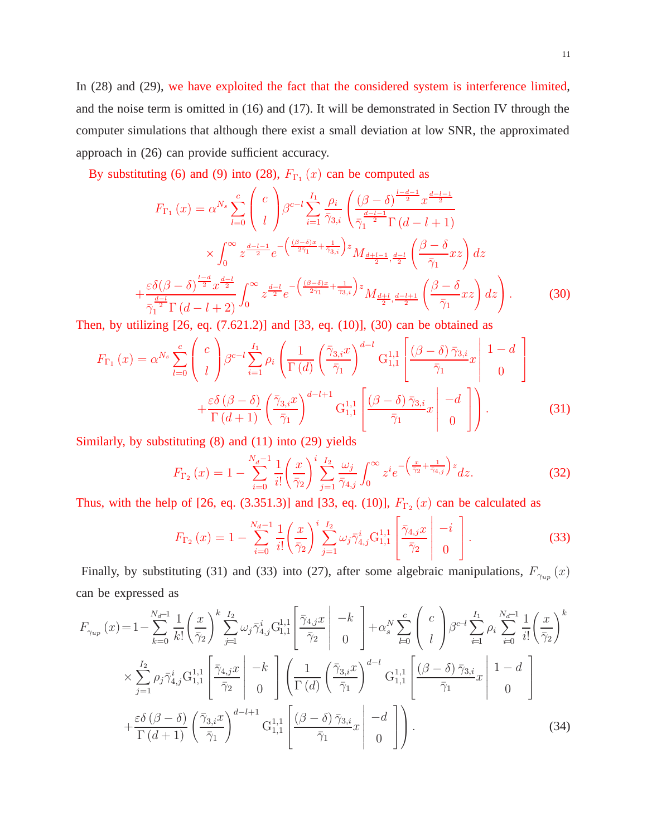By substituting (6) and (9) into (28),  $F_{\Gamma_1}(x)$  can be computed as

$$
F_{\Gamma_{1}}(x) = \alpha^{N_{s}} \sum_{l=0}^{c} \binom{c}{l} \beta^{c-l} \sum_{i=1}^{I_{1}} \frac{\rho_{i}}{\bar{\gamma}_{3,i}} \left( \frac{(\beta - \delta)^{\frac{l-d-1}{2}} x^{\frac{d-l-1}{2}}}{\bar{\gamma}_{1}^{2}} \frac{x^{\frac{d-l-1}{2}}}{\Gamma(d-l+1)} \right)
$$

$$
\times \int_{0}^{\infty} z^{\frac{d-l-1}{2}} e^{-\left(\frac{(\beta - \delta)x}{2\bar{\gamma}_{1}} + \frac{1}{\bar{\gamma}_{3,i}}\right)z} M_{\frac{d+l-1}{2}, \frac{d-l}{2}} \left( \frac{\beta - \delta}{\bar{\gamma}_{1}} x z \right) dz
$$

$$
+ \frac{\varepsilon \delta(\beta - \delta)^{\frac{l-d}{2}} x^{\frac{d-l}{2}}}{\bar{\gamma}_{1}^{2}} \Gamma(d-l+2) \int_{0}^{\infty} z^{\frac{d-l}{2}} e^{-\left(\frac{(\beta - \delta)x}{2\bar{\gamma}_{1}} + \frac{1}{\bar{\gamma}_{3,i}}\right)z} M_{\frac{d+l}{2}, \frac{d-l+1}{2}} \left( \frac{\beta - \delta}{\bar{\gamma}_{1}} x z \right) dz \right). \tag{30}
$$

Then, by utilizing [26, eq. (7.621.2)] and [33, eq. (10)], (30) can be obtained as

$$
F_{\Gamma_1}(x) = \alpha^{N_s} \sum_{l=0}^{c} \begin{pmatrix} c \\ l \end{pmatrix} \beta^{c-l} \sum_{i=1}^{I_1} \rho_i \left( \frac{1}{\Gamma(d)} \left( \frac{\bar{\gamma}_{3,i} x}{\bar{\gamma}_1} \right)^{d-l} G_{1,1}^{1,1} \left[ \frac{(\beta - \delta) \bar{\gamma}_{3,i}}{\bar{\gamma}_1} x \right] \begin{pmatrix} 1 - d \\ 0 \end{pmatrix} \right)
$$

$$
+ \frac{\varepsilon \delta (\beta - \delta)}{\Gamma(d+1)} \left( \frac{\bar{\gamma}_{3,i} x}{\bar{\gamma}_1} \right)^{d-l+1} G_{1,1}^{1,1} \left[ \frac{(\beta - \delta) \bar{\gamma}_{3,i}}{\bar{\gamma}_1} x \right] \begin{pmatrix} -d \\ 0 \end{pmatrix} .
$$
 (31)

Similarly, by substituting (8) and (11) into (29) yields

$$
F_{\Gamma_2}(x) = 1 - \sum_{i=0}^{N_d - 1} \frac{1}{i!} \left(\frac{x}{\bar{\gamma}_2}\right)^i \sum_{j=1}^{I_2} \frac{\omega_j}{\bar{\gamma}_{4,j}} \int_0^\infty z^i e^{-\left(\frac{x}{\bar{\gamma}_2} + \frac{1}{\bar{\gamma}_{4,j}}\right)z} dz.
$$
 (32)

Thus, with the help of [26, eq. (3.351.3)] and [33, eq. (10)],  $F_{\Gamma_2}(x)$  can be calculated as

$$
F_{\Gamma_2}(x) = 1 - \sum_{i=0}^{N_d - 1} \frac{1}{i!} \left(\frac{x}{\bar{\gamma}_2}\right)^i \sum_{j=1}^{I_2} \omega_j \bar{\gamma}_{4,j}^i \mathbf{G}_{1,1}^{1,1} \left[\frac{\bar{\gamma}_{4,j} x}{\bar{\gamma}_2} \middle| \begin{array}{c} -i\\ 0 \end{array} \right].
$$
 (33)

Finally, by substituting (31) and (33) into (27), after some algebraic manipulations,  $F_{\gamma_{up}}(x)$ can be expressed as

$$
F_{\gamma_{up}}(x) = 1 - \sum_{k=0}^{N_d-1} \frac{1}{k!} \left(\frac{x}{\bar{\gamma}_2}\right)^k \sum_{j=1}^{I_2} \omega_j \bar{\gamma}_{4,j}^i \mathbf{G}_{1,1}^{1,1} \left[\frac{\bar{\gamma}_{4,j}x}{\bar{\gamma}_2}\right] - k \quad \text{and} \quad -k \sum_{k=0}^{N} \left(\begin{array}{c} c \\ l \end{array}\right) \beta^{c-l} \sum_{i=1}^{I_1} \rho_i \sum_{i=0}^{N_d-1} \frac{1}{i!} \left(\frac{x}{\bar{\gamma}_2}\right)^k
$$
\n
$$
\times \sum_{j=1}^{I_2} \rho_j \bar{\gamma}_{4,j}^i \mathbf{G}_{1,1}^{1,1} \left[\frac{\bar{\gamma}_{4,j}x}{\bar{\gamma}_2}\right] - k \quad \text{and} \quad \left(\frac{1}{\Gamma(d)} \left(\frac{\bar{\gamma}_{3,i}x}{\bar{\gamma}_1}\right)^{d-l} \mathbf{G}_{1,1}^{1,1} \left[\frac{(\beta-\delta)\bar{\gamma}_{3,i}}{\bar{\gamma}_1}x\right] \begin{array}{c} 1-d \\ 0 \end{array}\right]
$$
\n
$$
+ \frac{\varepsilon \delta (\beta-\delta)}{\Gamma(d+1)} \left(\frac{\bar{\gamma}_{3,i}x}{\bar{\gamma}_1}\right)^{d-l+1} \mathbf{G}_{1,1}^{1,1} \left[\frac{(\beta-\delta)\bar{\gamma}_{3,i}}{\bar{\gamma}_1}x\right] - d \quad \text{and} \quad \left(\frac{34}{\bar{\gamma}_1}\right)
$$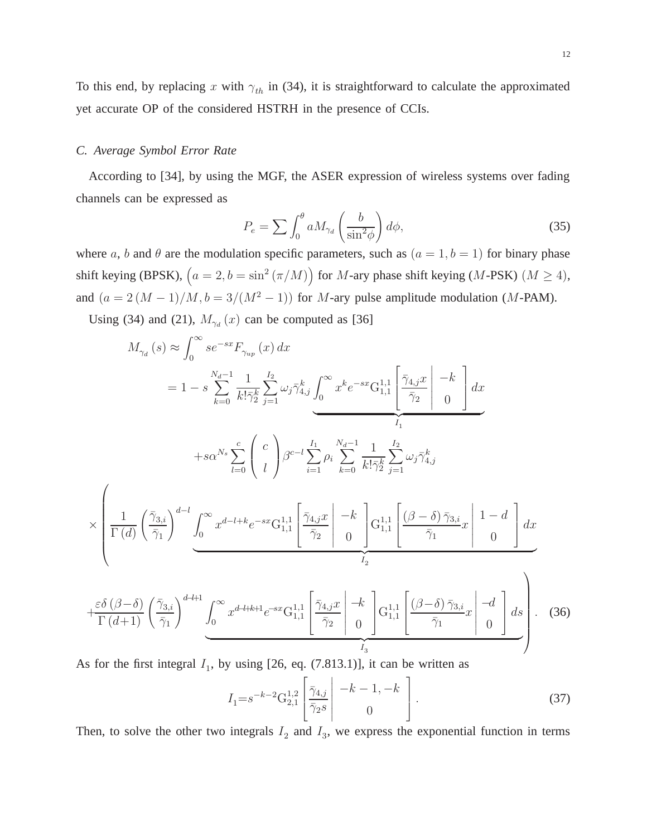To this end, by replacing x with  $\gamma_{th}$  in (34), it is straightforward to calculate the approximated yet accurate OP of the considered HSTRH in the presence of CCIs.

#### *C. Average Symbol Error Rate*

According to [34], by using the MGF, the ASER expression of wireless systems over fading channels can be expressed as

$$
P_e = \sum \int_0^\theta a M_{\gamma_d} \left(\frac{b}{\sin^2 \phi}\right) d\phi,\tag{35}
$$

where a, b and  $\theta$  are the modulation specific parameters, such as  $(a = 1, b = 1)$  for binary phase shift keying (BPSK),  $(a = 2, b = \sin^2(\pi/M))$  for M-ary phase shift keying (M-PSK) ( $M \ge 4$ ), and  $(a = 2(M - 1)/M, b = 3/(M^2 - 1))$  for M-ary pulse amplitude modulation (M-PAM).

Using (34) and (21),  $M_{\gamma d} (x)$  can be computed as [36]

$$
M_{\gamma_d}(s) \approx \int_0^\infty s e^{-sx} F_{\gamma_{up}}(x) dx
$$
  
\n
$$
= 1 - s \sum_{k=0}^{N_d - 1} \frac{1}{k! \bar{\gamma}_2^k} \sum_{j=1}^{I_2} \omega_j \bar{\gamma}_{4,j}^k \underbrace{\int_0^\infty x^k e^{-sx} G_{1,1}^{1,1} \left[ \frac{\bar{\gamma}_{4,j} x}{\bar{\gamma}_2} \right] - k}_{I_1} dx
$$
  
\n
$$
+ s \alpha^{N_s} \sum_{l=0}^c \left( \frac{c}{l} \right) \beta^{c-l} \sum_{i=1}^{I_1} \rho_i \sum_{k=0}^{N_d - 1} \frac{1}{k! \bar{\gamma}_2^k} \sum_{j=1}^{I_2} \omega_j \bar{\gamma}_{4,j}^k
$$
  
\n
$$
\times \left( \frac{1}{\Gamma(d)} \left( \frac{\bar{\gamma}_{3,i}}{\bar{\gamma}_1} \right)^{d-l} \underbrace{\int_0^\infty x^{d-l+k} e^{-sx} G_{1,1}^{1,1} \left[ \frac{\bar{\gamma}_{4,j} x}{\bar{\gamma}_2} \right] - k}_{I_2} \right) G_{1,1}^{1,1} \left[ \frac{(\beta - \delta) \bar{\gamma}_{3,i}}{\bar{\gamma}_1} x \right] \left[ 1 - d \right] dx
$$
  
\n
$$
+ \frac{\varepsilon \delta (\beta - \delta)}{\Gamma(d+1)} \left( \frac{\bar{\gamma}_{3,i}}{\bar{\gamma}_1} \right)^{d+l+1} \underbrace{\int_0^\infty x^{d-l+k+1} e^{-sx} G_{1,1}^{1,1} \left[ \frac{\bar{\gamma}_{4,j} x}{\bar{\gamma}_2} \right] - k}{ \underbrace{\int_0^\infty x^{d-l+k+1} e^{-sx} G_{1,1}^{1,1} \left[ \frac{\bar{\gamma}_{4,j} x}{\bar{\gamma}_2} \right] - k}_{I_3} G_{1,1}^{1,1} \left[ \frac{(\beta - \delta) \bar{\gamma}_{3,i}}{\bar{\gamma}_1} x \right] - d \left[ \frac{ds}{\gamma_1} \right].
$$
 (36)

As for the first integral  $I_1$ , by using [26, eq. (7.813.1)], it can be written as

$$
I_1 = s^{-k-2} \mathcal{G}_{2,1}^{1,2} \left[ \frac{\bar{\gamma}_{4,j}}{\bar{\gamma}_2 s} \middle| \begin{array}{c} -k-1, -k\\ 0 \end{array} \right]. \tag{37}
$$

Then, to solve the other two integrals  $I_2$  and  $I_3$ , we express the exponential function in terms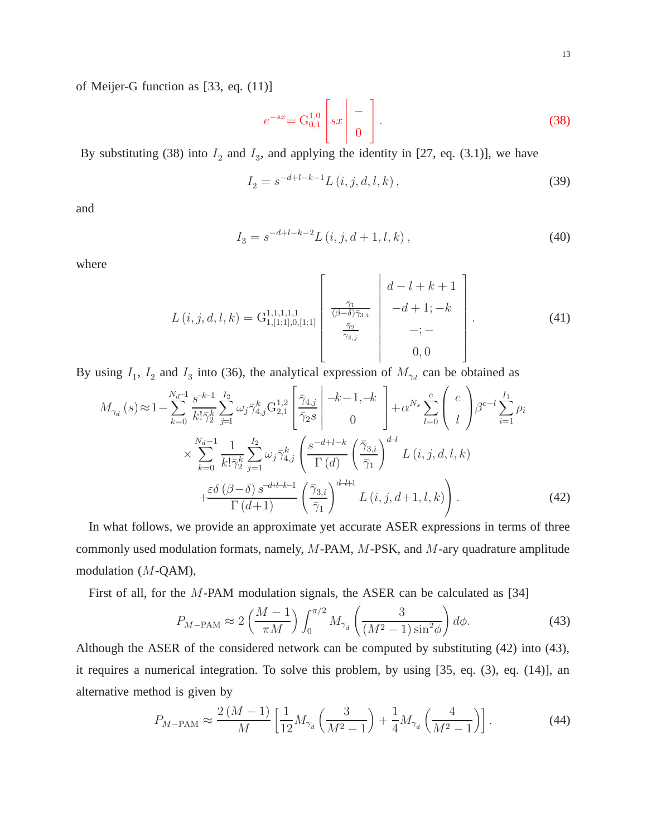of Meijer-G function as [33, eq. (11)]

$$
e^{-sx} = G_{0,1}^{1,0} \left[ sx \mid - \right] \tag{38}
$$

By substituting (38) into  $I_2$  and  $I_3$ , and applying the identity in [27, eq. (3.1)], we have

$$
I_2 = s^{-d+l-k-1} L(i, j, d, l, k),
$$
\n(39)

and

$$
I_3 = s^{-d+l-k-2} L(i, j, d+1, l, k), \tag{40}
$$

where

$$
L(i,j,d,l,k) = G_{1,[1:1],0,[1:1]}^{1,1,1,1,1} \begin{bmatrix} \frac{\bar{\gamma}_1}{(\beta - \delta)\bar{\gamma}_{3,i}} \\ \frac{\bar{\gamma}_2}{\bar{\gamma}_{4,j}} \\ \frac{\bar{\gamma}_2}{\bar{\gamma}_{4,j}} \end{bmatrix} \begin{bmatrix} d-l+k+1 \\ -d+1;-k \\ -;- \\ 0,0 \end{bmatrix} . \tag{41}
$$

By using  $I_1$ ,  $I_2$  and  $I_3$  into (36), the analytical expression of  $M_{\gamma_d}$  can be obtained as

$$
M_{\gamma_d}(s) \approx 1 - \sum_{k=0}^{N_d-1} \frac{s^{-k-1}}{k! \bar{\gamma}_2^k} \sum_{j=1}^{I_2} \omega_j \bar{\gamma}_{4,j}^k G_{2,1}^{1,2} \left[ \frac{\bar{\gamma}_{4,j}}{\bar{\gamma}_2 s} \middle| \frac{-k-1, -k}{0} \right] + \alpha^{N_s} \sum_{l=0}^c \binom{c}{l} \beta^{c-l} \sum_{i=1}^{I_1} \rho_i
$$
  
 
$$
\times \sum_{k=0}^{N_d-1} \frac{1}{k! \bar{\gamma}_2^k} \sum_{j=1}^{I_2} \omega_j \bar{\gamma}_{4,j}^k \left( \frac{s^{-d+l-k}}{\Gamma(d)} \left( \frac{\bar{\gamma}_{3,i}}{\bar{\gamma}_1} \right)^{d-l} L(i, j, d, l, k) + \frac{\varepsilon \delta (\beta - \delta) s^{-d+l-k-1}}{\Gamma(d+1)} \left( \frac{\bar{\gamma}_{3,i}}{\bar{\gamma}_1} \right)^{d-l+1} L(i, j, d+1, l, k) \right). \tag{42}
$$

In what follows, we provide an approximate yet accurate ASER expressions in terms of three commonly used modulation formats, namely, M-PAM, M-PSK, and M-ary quadrature amplitude modulation (M-QAM),

First of all, for the M-PAM modulation signals, the ASER can be calculated as [34]

$$
P_{M-\text{PAM}} \approx 2\left(\frac{M-1}{\pi M}\right) \int_0^{\pi/2} M_{\gamma_d} \left(\frac{3}{\left(M^2-1\right) \sin^2\phi}\right) d\phi. \tag{43}
$$

Although the ASER of the considered network can be computed by substituting (42) into (43), it requires a numerical integration. To solve this problem, by using [35, eq. (3), eq. (14)], an alternative method is given by

$$
P_{M-\text{PAM}} \approx \frac{2\left(M-1\right)}{M} \left[\frac{1}{12} M_{\gamma_d} \left(\frac{3}{M^2-1}\right) + \frac{1}{4} M_{\gamma_d} \left(\frac{4}{M^2-1}\right)\right].\tag{44}
$$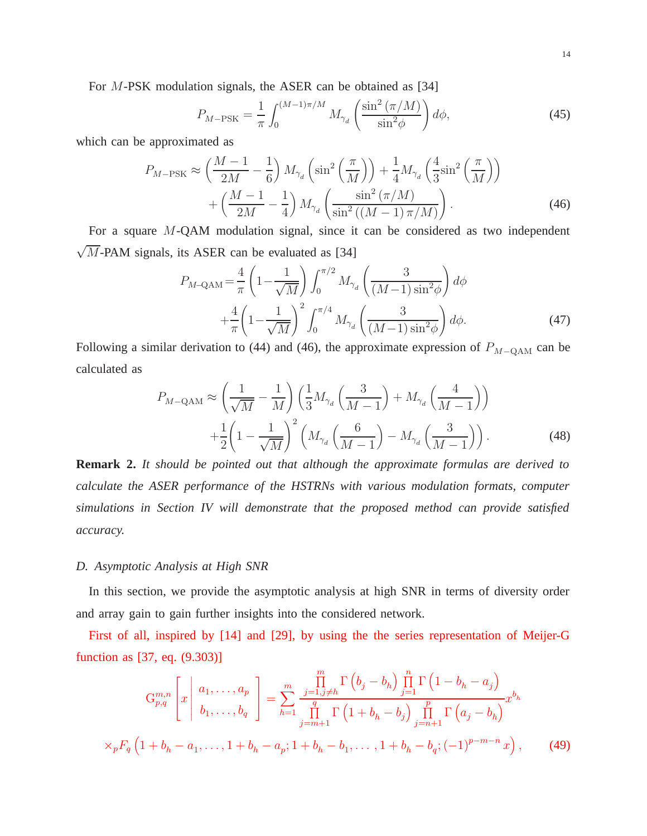For M-PSK modulation signals, the ASER can be obtained as [34]

$$
P_{M-\text{PSK}} = \frac{1}{\pi} \int_0^{(M-1)\pi/M} M_{\gamma_d} \left( \frac{\sin^2\left(\pi/M\right)}{\sin^2\phi} \right) d\phi,\tag{45}
$$

which can be approximated as

$$
P_{M-\text{PSK}} \approx \left(\frac{M-1}{2M} - \frac{1}{6}\right) M_{\gamma_d} \left(\sin^2\left(\frac{\pi}{M}\right)\right) + \frac{1}{4} M_{\gamma_d} \left(\frac{4}{3} \sin^2\left(\frac{\pi}{M}\right)\right) + \left(\frac{M-1}{2M} - \frac{1}{4}\right) M_{\gamma_d} \left(\frac{\sin^2\left(\pi/M\right)}{\sin^2\left(\left(M-1\right)\pi/M\right)}\right). \tag{46}
$$

For a square M-QAM modulation signal, since it can be considered as two independent  $\sqrt{M}$ -PAM signals, its ASER can be evaluated as [34]

$$
P_{M-\text{QAM}} = \frac{4}{\pi} \left( 1 - \frac{1}{\sqrt{M}} \right) \int_0^{\pi/2} M_{\gamma_d} \left( \frac{3}{(M-1)\sin^2 \phi} \right) d\phi
$$
  
 
$$
+ \frac{4}{\pi} \left( 1 - \frac{1}{\sqrt{M}} \right)^2 \int_0^{\pi/4} M_{\gamma_d} \left( \frac{3}{(M-1)\sin^2 \phi} \right) d\phi.
$$
 (47)

Following a similar derivation to (44) and (46), the approximate expression of  $P_{M-QAM}$  can be calculated as

$$
P_{M-\text{QAM}} \approx \left(\frac{1}{\sqrt{M}} - \frac{1}{M}\right) \left(\frac{1}{3} M_{\gamma_d} \left(\frac{3}{M-1}\right) + M_{\gamma_d} \left(\frac{4}{M-1}\right)\right)
$$

$$
+ \frac{1}{2} \left(1 - \frac{1}{\sqrt{M}}\right)^2 \left(M_{\gamma_d} \left(\frac{6}{M-1}\right) - M_{\gamma_d} \left(\frac{3}{M-1}\right)\right). \tag{48}
$$

**Remark 2.** *It should be pointed out that although the approximate formulas are derived to calculate the ASER performance of the HSTRNs with various modulation formats, computer simulations in Section IV will demonstrate that the proposed method can provide satisfied accuracy.*

#### *D. Asymptotic Analysis at High SNR*

In this section, we provide the asymptotic analysis at high SNR in terms of diversity order and array gain to gain further insights into the considered network.

First of all, inspired by [14] and [29], by using the the series representation of Meijer-G function as [37, eq. (9.303)]

$$
G_{p,q}^{m,n}\left[x \mid a_1, \ldots, a_p \atop b_1, \ldots, b_q\right] = \sum_{h=1}^m \frac{\prod_{j=1, j \neq h}^m \Gamma(b_j - b_h) \prod_{j=1}^n \Gamma(1 - b_h - a_j)}{\prod_{j=m+1}^q \Gamma(1 + b_h - b_j) \prod_{j=n+1}^p \Gamma(a_j - b_h)} x^{b_h}
$$
  

$$
\times_p F_q\left(1 + b_h - a_1, \ldots, 1 + b_h - a_p; 1 + b_h - b_1, \ldots, 1 + b_h - b_q; (-1)^{p-m-n} x\right), \qquad (49)
$$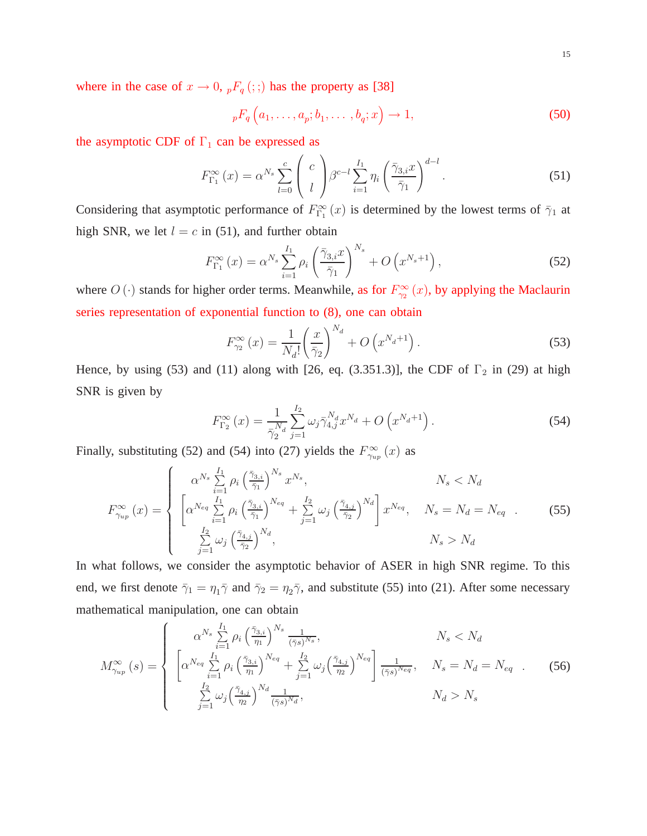where in the case of  $x \to 0$ ,  ${}_{p}F_{q}$  (; ;) has the property as [38]

$$
{}_{p}F_{q}\left(a_{1},\ldots,a_{p};b_{1},\ldots,b_{q};x\right)\to 1,
$$
\n
$$
(50)
$$

the asymptotic CDF of  $\Gamma_1$  can be expressed as

$$
F_{\Gamma_1}^{\infty}(x) = \alpha^{N_s} \sum_{l=0}^{c} \binom{c}{l} \beta^{c-l} \sum_{i=1}^{I_1} \eta_i \left(\frac{\bar{\gamma}_{3,i} x}{\bar{\gamma}_1}\right)^{d-l}.
$$
 (51)

Considering that asymptotic performance of  $F_{\Gamma_1}^{\infty}(x)$  is determined by the lowest terms of  $\bar{\gamma}_1$  at high SNR, we let  $l = c$  in (51), and further obtain

$$
F_{\Gamma_1}^{\infty}(x) = \alpha^{N_s} \sum_{i=1}^{I_1} \rho_i \left(\frac{\bar{\gamma}_{3,i} x}{\bar{\gamma}_1}\right)^{N_s} + O\left(x^{N_s+1}\right),\tag{52}
$$

where  $O(\cdot)$  stands for higher order terms. Meanwhile, as for  $F_{\gamma_2}^{\infty}(x)$ , by applying the Maclaurin series representation of exponential function to (8), one can obtain

$$
F_{\gamma_2}^{\infty}(x) = \frac{1}{N_d!} \left(\frac{x}{\bar{\gamma}_2}\right)^{N_d} + O\left(x^{N_d+1}\right). \tag{53}
$$

Hence, by using (53) and (11) along with [26, eq. (3.351.3)], the CDF of  $\Gamma_2$  in (29) at high SNR is given by

$$
F_{\Gamma_2}^{\infty}(x) = \frac{1}{\bar{\gamma}_2^{N_d}} \sum_{j=1}^{I_2} \omega_j \bar{\gamma}_{4,j}^{N_d} x^{N_d} + O\left(x^{N_d+1}\right). \tag{54}
$$

Finally, substituting (52) and (54) into (27) yields the  $F^{\infty}_{\gamma_{up}}(x)$  as

$$
F_{\gamma_{up}}^{\infty}(x) = \begin{cases} \alpha^{N_s} \sum_{i=1}^{I_1} \rho_i \left(\frac{\bar{\gamma}_{3,i}}{\bar{\gamma}_1}\right)^{N_s} x^{N_s}, & N_s < N_d\\ \left[\alpha^{N_{eq}} \sum_{i=1}^{I_1} \rho_i \left(\frac{\bar{\gamma}_{3,i}}{\bar{\gamma}_1}\right)^{N_{eq}} + \sum_{j=1}^{I_2} \omega_j \left(\frac{\bar{\gamma}_{4,j}}{\bar{\gamma}_2}\right)^{N_d}\right] x^{N_{eq}}, & N_s = N_d = N_{eq} \end{cases} (55)
$$
\n
$$
\sum_{j=1}^{I_2} \omega_j \left(\frac{\bar{\gamma}_{4,j}}{\bar{\gamma}_2}\right)^{N_d}, & N_s > N_d
$$

In what follows, we consider the asymptotic behavior of ASER in high SNR regime. To this end, we first denote  $\bar{\gamma}_1 = \eta_1 \bar{\gamma}$  and  $\bar{\gamma}_2 = \eta_2 \bar{\gamma}$ , and substitute (55) into (21). After some necessary mathematical manipulation, one can obtain

$$
M_{\gamma_{up}}^{\infty}(s) = \begin{cases} \alpha^{N_s} \sum_{i=1}^{I_1} \rho_i \left(\frac{\bar{\gamma}_{3,i}}{\eta_1}\right)^{N_s} \frac{1}{(\bar{\gamma}_s)^{N_s}}, & N_s < N_d\\ \left[\alpha^{N_{eq}} \sum_{i=1}^{I_1} \rho_i \left(\frac{\bar{\gamma}_{3,i}}{\eta_1}\right)^{N_{eq}} + \sum_{j=1}^{I_2} \omega_j \left(\frac{\bar{\gamma}_{4,j}}{\eta_2}\right)^{N_{eq}} \right] \frac{1}{(\bar{\gamma}_s)^{N_{eq}}}, & N_s = N_d = N_{eq} \quad .\\ \sum_{j=1}^{I_2} \omega_j \left(\frac{\bar{\gamma}_{4,j}}{\eta_2}\right)^{N_d} \frac{1}{(\bar{\gamma}_s)^{N_d}}, & N_d > N_s \end{cases} \tag{56}
$$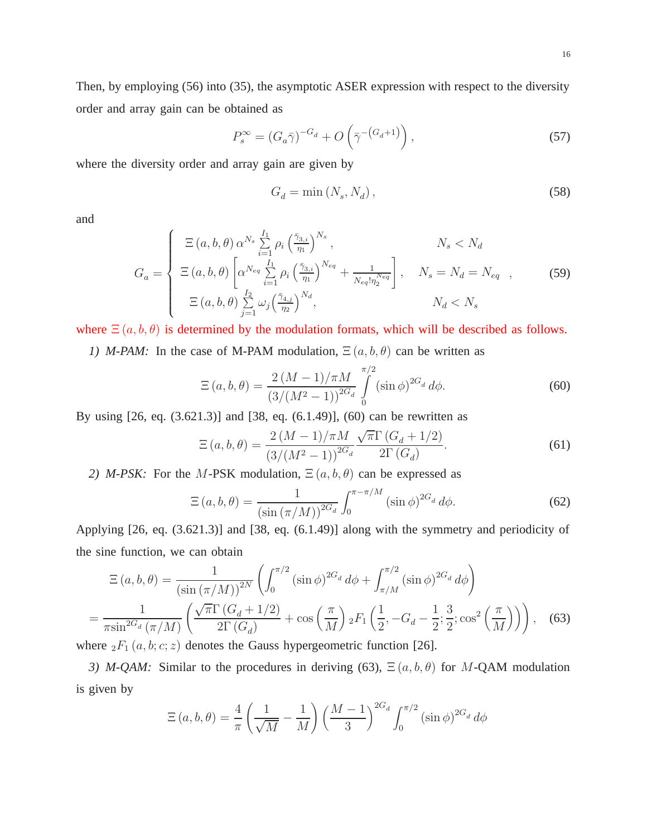Then, by employing (56) into (35), the asymptotic ASER expression with respect to the diversity order and array gain can be obtained as

$$
P_s^{\infty} = (G_a \bar{\gamma})^{-G_d} + O\left(\bar{\gamma}^{-\left(G_d + 1\right)}\right),\tag{57}
$$

where the diversity order and array gain are given by

$$
G_d = \min\left(N_s, N_d\right),\tag{58}
$$

and

$$
G_{a} = \begin{cases} \n\Xi(a,b,\theta) \alpha^{N_{s}} \sum_{i=1}^{I_{1}} \rho_{i} \left(\frac{\bar{\gamma}_{3,i}}{\eta_{1}}\right)^{N_{s}}, & N_{s} < N_{d} \\ \n\Xi(a,b,\theta) \left[ \alpha^{N_{eq}} \sum_{i=1}^{I_{1}} \rho_{i} \left(\frac{\bar{\gamma}_{3,i}}{\eta_{1}}\right)^{N_{eq}} + \frac{1}{N_{eq}! \eta_{2}^{N_{eq}}} \right], & N_{s} = N_{d} = N_{eq} , \\ \n\Xi(a,b,\theta) \sum_{j=1}^{I_{2}} \omega_{j} \left(\frac{\bar{\gamma}_{4,j}}{\eta_{2}}\right)^{N_{d}}, & N_{d} < N_{s} \n\end{cases}
$$
\n(59)

where  $\Xi(a, b, \theta)$  is determined by the modulation formats, which will be described as follows. *1) M-PAM*: In the case of M-PAM modulation,  $E(a, b, \theta)$  can be written as

$$
\Xi(a,b,\theta) = \frac{2\left(M-1\right)/\pi M}{\left(3/(M^2-1)\right)^{2G_d}} \int\limits_0^{\pi/2} (\sin\phi)^{2G_d} d\phi. \tag{60}
$$

By using [26, eq. (3.621.3)] and [38, eq. (6.1.49)], (60) can be rewritten as

$$
\Xi(a,b,\theta) = \frac{2(M-1)/\pi M}{\left(3/(M^2-1)\right)^{2G_d}} \frac{\sqrt{\pi}\Gamma\left(G_d+1/2\right)}{2\Gamma\left(G_d\right)}.
$$
\n(61)

*2) M-PSK:* For the *M-PSK* modulation,  $E(a, b, \theta)$  can be expressed as

$$
\Xi\left(a,b,\theta\right) = \frac{1}{\left(\sin\left(\pi/M\right)\right)^{2G_d}} \int_0^{\pi-\pi/M} \left(\sin\phi\right)^{2G_d} d\phi. \tag{62}
$$

Applying [26, eq. (3.621.3)] and [38, eq. (6.1.49)] along with the symmetry and periodicity of the sine function, we can obtain

$$
\Xi(a,b,\theta) = \frac{1}{(\sin(\pi/M))^{2N}} \left( \int_0^{\pi/2} (\sin\phi)^{2G_d} d\phi + \int_{\pi/M}^{\pi/2} (\sin\phi)^{2G_d} d\phi \right)
$$

$$
= \frac{1}{\pi \sin^{2G_d}(\pi/M)} \left( \frac{\sqrt{\pi} \Gamma (G_d + 1/2)}{2 \Gamma (G_d)} + \cos\left(\frac{\pi}{M}\right) {}_2F_1\left(\frac{1}{2}, -G_d - \frac{1}{2}; \frac{3}{2}; \cos^2\left(\frac{\pi}{M}\right) \right) \right), \quad (63)
$$

where  ${}_2F_1(a, b; c; z)$  denotes the Gauss hypergeometric function [26].

*3) M-QAM:* Similar to the procedures in deriving (63),  $\Xi(a, b, \theta)$  for M-QAM modulation is given by

$$
\Xi(a,b,\theta) = \frac{4}{\pi} \left( \frac{1}{\sqrt{M}} - \frac{1}{M} \right) \left( \frac{M-1}{3} \right)^{2G_d} \int_0^{\pi/2} (\sin \phi)^{2G_d} d\phi
$$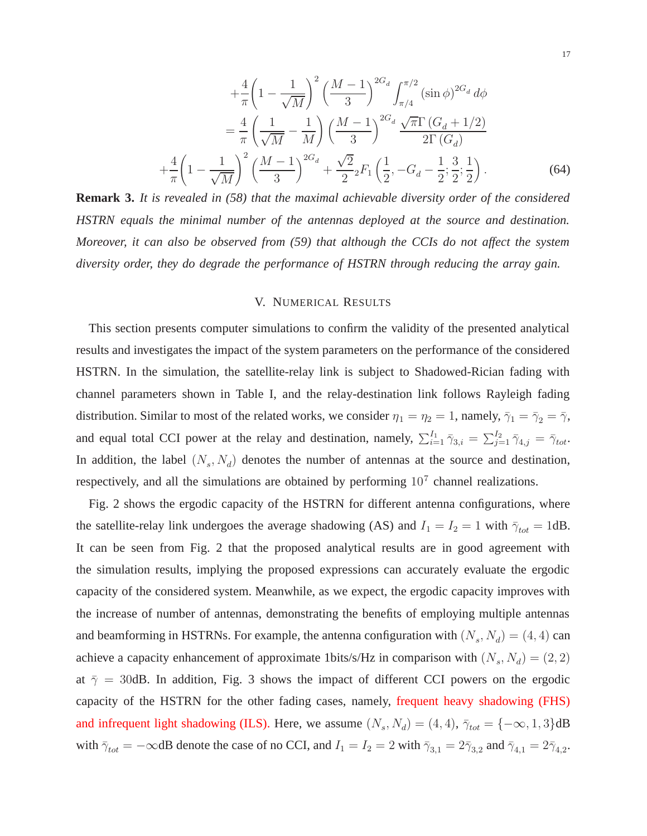$$
+\frac{4}{\pi} \left(1 - \frac{1}{\sqrt{M}}\right)^2 \left(\frac{M-1}{3}\right)^{2G_d} \int_{\pi/4}^{\pi/2} (\sin \phi)^{2G_d} d\phi
$$
  

$$
= \frac{4}{\pi} \left(\frac{1}{\sqrt{M}} - \frac{1}{M}\right) \left(\frac{M-1}{3}\right)^{2G_d} \frac{\sqrt{\pi} \Gamma (G_d + 1/2)}{2 \Gamma (G_d)}
$$
  

$$
+\frac{4}{\pi} \left(1 - \frac{1}{\sqrt{M}}\right)^2 \left(\frac{M-1}{3}\right)^{2G_d} + \frac{\sqrt{2}}{2} {}_2F_1 \left(\frac{1}{2}, -G_d - \frac{1}{2}; \frac{3}{2}; \frac{1}{2}\right).
$$
 (64)

**Remark 3.** *It is revealed in (58) that the maximal achievable diversity order of the considered HSTRN equals the minimal number of the antennas deployed at the source and destination. Moreover, it can also be observed from (59) that although the CCIs do not affect the system diversity order, they do degrade the performance of HSTRN through reducing the array gain.*

#### V. NUMERICAL RESULTS

This section presents computer simulations to confirm the validity of the presented analytical results and investigates the impact of the system parameters on the performance of the considered HSTRN. In the simulation, the satellite-relay link is subject to Shadowed-Rician fading with channel parameters shown in Table I, and the relay-destination link follows Rayleigh fading distribution. Similar to most of the related works, we consider  $\eta_1 = \eta_2 = 1$ , namely,  $\overline{\gamma}_1 = \overline{\gamma}_2 = \overline{\gamma}$ , and equal total CCI power at the relay and destination, namely,  $\sum_{i=1}^{I_1} \bar{\gamma}_{3,i} = \sum_{j=1}^{I_2} \bar{\gamma}_{4,j} = \bar{\gamma}_{tot}$ . In addition, the label  $(N_s, N_d)$  denotes the number of antennas at the source and destination, respectively, and all the simulations are obtained by performing  $10<sup>7</sup>$  channel realizations.

Fig. 2 shows the ergodic capacity of the HSTRN for different antenna configurations, where the satellite-relay link undergoes the average shadowing (AS) and  $I_1 = I_2 = 1$  with  $\bar{\gamma}_{tot} = 1$ dB. It can be seen from Fig. 2 that the proposed analytical results are in good agreement with the simulation results, implying the proposed expressions can accurately evaluate the ergodic capacity of the considered system. Meanwhile, as we expect, the ergodic capacity improves with the increase of number of antennas, demonstrating the benefits of employing multiple antennas and beamforming in HSTRNs. For example, the antenna configuration with  $(N_s, N_d) = (4, 4)$  can achieve a capacity enhancement of approximate 1bits/s/Hz in comparison with  $(N_s, N_d) = (2, 2)$ at  $\bar{\gamma}$  = 30dB. In addition, Fig. 3 shows the impact of different CCI powers on the ergodic capacity of the HSTRN for the other fading cases, namely, frequent heavy shadowing (FHS) and infrequent light shadowing (ILS). Here, we assume  $(N_s, N_d) = (4, 4)$ ,  $\bar{\gamma}_{tot} = \{-\infty, 1, 3\}$ dB with  $\bar{\gamma}_{tot} = -\infty$ dB denote the case of no CCI, and  $I_1 = I_2 = 2$  with  $\bar{\gamma}_{3,1} = 2\bar{\gamma}_{3,2}$  and  $\bar{\gamma}_{4,1} = 2\bar{\gamma}_{4,2}$ .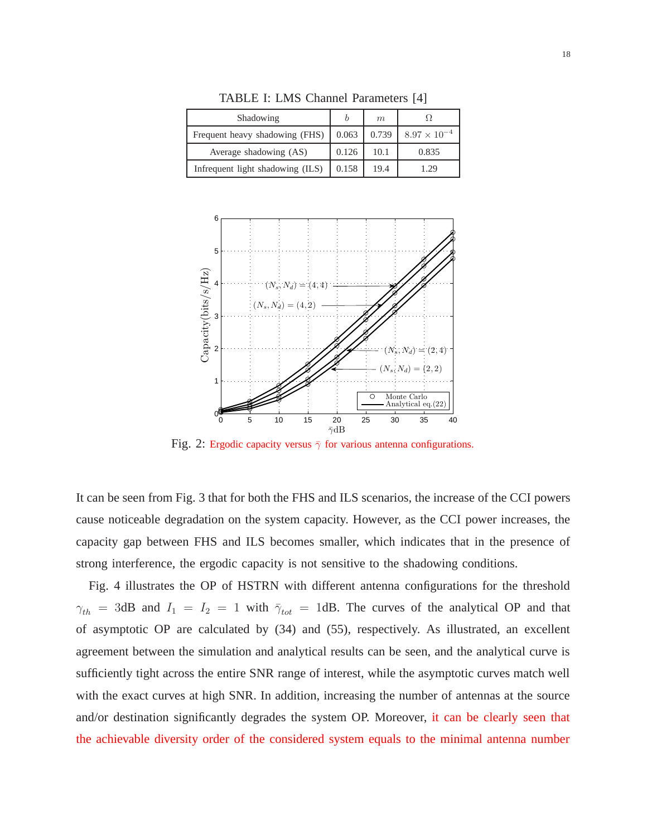| Shadowing                        |       | m     |                       |
|----------------------------------|-------|-------|-----------------------|
| Frequent heavy shadowing (FHS)   | 0.063 | 0.739 | $8.97 \times 10^{-4}$ |
| Average shadowing (AS)           | 0.126 | 10.1  | 0.835                 |
| Infrequent light shadowing (ILS) | 0.158 | 19.4  | 179                   |

TABLE I: LMS Channel Parameters [4]



Fig. 2: Ergodic capacity versus  $\bar{\gamma}$  for various antenna configurations.

It can be seen from Fig. 3 that for both the FHS and ILS scenarios, the increase of the CCI powers cause noticeable degradation on the system capacity. However, as the CCI power increases, the capacity gap between FHS and ILS becomes smaller, which indicates that in the presence of strong interference, the ergodic capacity is not sensitive to the shadowing conditions.

Fig. 4 illustrates the OP of HSTRN with different antenna configurations for the threshold  $\gamma_{th}$  = 3dB and  $I_1 = I_2 = 1$  with  $\bar{\gamma}_{tot}$  = 1dB. The curves of the analytical OP and that of asymptotic OP are calculated by (34) and (55), respectively. As illustrated, an excellent agreement between the simulation and analytical results can be seen, and the analytical curve is sufficiently tight across the entire SNR range of interest, while the asymptotic curves match well with the exact curves at high SNR. In addition, increasing the number of antennas at the source and/or destination significantly degrades the system OP. Moreover, it can be clearly seen that the achievable diversity order of the considered system equals to the minimal antenna number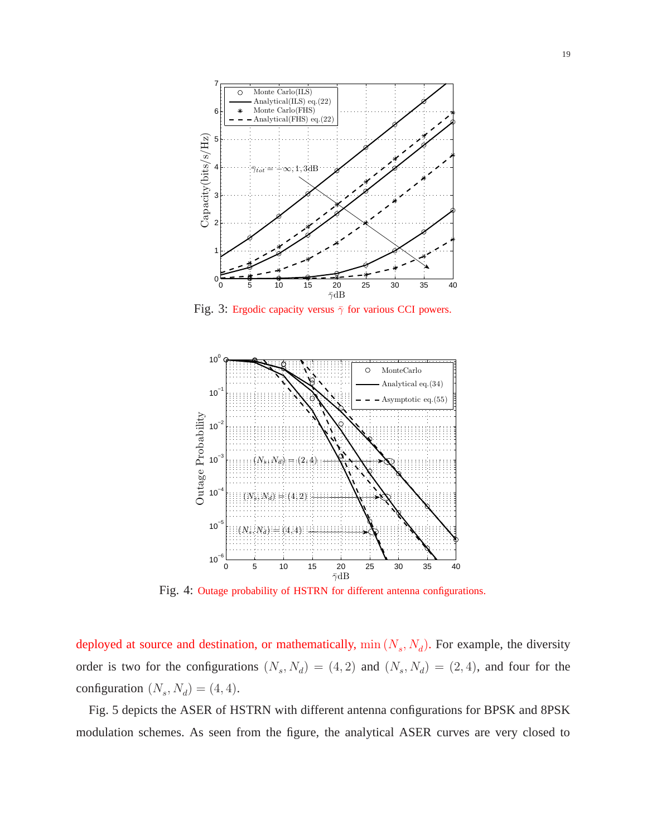

Fig. 3: Ergodic capacity versus  $\bar{\gamma}$  for various CCI powers.



Fig. 4: Outage probability of HSTRN for different antenna configurations.

deployed at source and destination, or mathematically,  $\min(N_s, N_d)$ . For example, the diversity order is two for the configurations  $(N_s, N_d) = (4, 2)$  and  $(N_s, N_d) = (2, 4)$ , and four for the configuration  $(N_s, N_d) = (4, 4)$ .

Fig. 5 depicts the ASER of HSTRN with different antenna configurations for BPSK and 8PSK modulation schemes. As seen from the figure, the analytical ASER curves are very closed to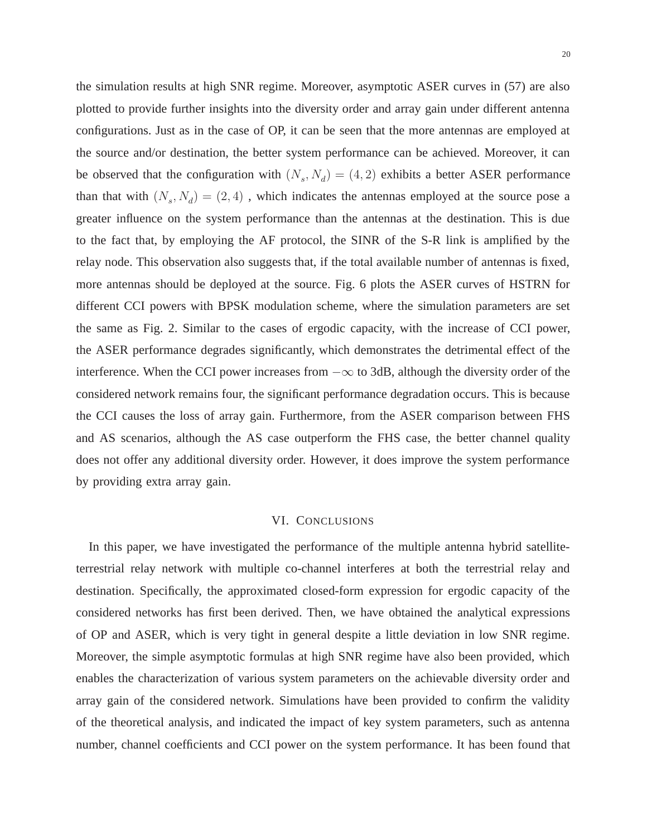the simulation results at high SNR regime. Moreover, asymptotic ASER curves in (57) are also plotted to provide further insights into the diversity order and array gain under different antenna configurations. Just as in the case of OP, it can be seen that the more antennas are employed at the source and/or destination, the better system performance can be achieved. Moreover, it can be observed that the configuration with  $(N_s, N_d) = (4, 2)$  exhibits a better ASER performance than that with  $(N_s, N_d) = (2, 4)$ , which indicates the antennas employed at the source pose a greater influence on the system performance than the antennas at the destination. This is due to the fact that, by employing the AF protocol, the SINR of the S-R link is amplified by the relay node. This observation also suggests that, if the total available number of antennas is fixed, more antennas should be deployed at the source. Fig. 6 plots the ASER curves of HSTRN for different CCI powers with BPSK modulation scheme, where the simulation parameters are set the same as Fig. 2. Similar to the cases of ergodic capacity, with the increase of CCI power, the ASER performance degrades significantly, which demonstrates the detrimental effect of the interference. When the CCI power increases from  $-\infty$  to 3dB, although the diversity order of the considered network remains four, the significant performance degradation occurs. This is because the CCI causes the loss of array gain. Furthermore, from the ASER comparison between FHS and AS scenarios, although the AS case outperform the FHS case, the better channel quality does not offer any additional diversity order. However, it does improve the system performance by providing extra array gain.

#### VI. CONCLUSIONS

In this paper, we have investigated the performance of the multiple antenna hybrid satelliteterrestrial relay network with multiple co-channel interferes at both the terrestrial relay and destination. Specifically, the approximated closed-form expression for ergodic capacity of the considered networks has first been derived. Then, we have obtained the analytical expressions of OP and ASER, which is very tight in general despite a little deviation in low SNR regime. Moreover, the simple asymptotic formulas at high SNR regime have also been provided, which enables the characterization of various system parameters on the achievable diversity order and array gain of the considered network. Simulations have been provided to confirm the validity of the theoretical analysis, and indicated the impact of key system parameters, such as antenna number, channel coefficients and CCI power on the system performance. It has been found that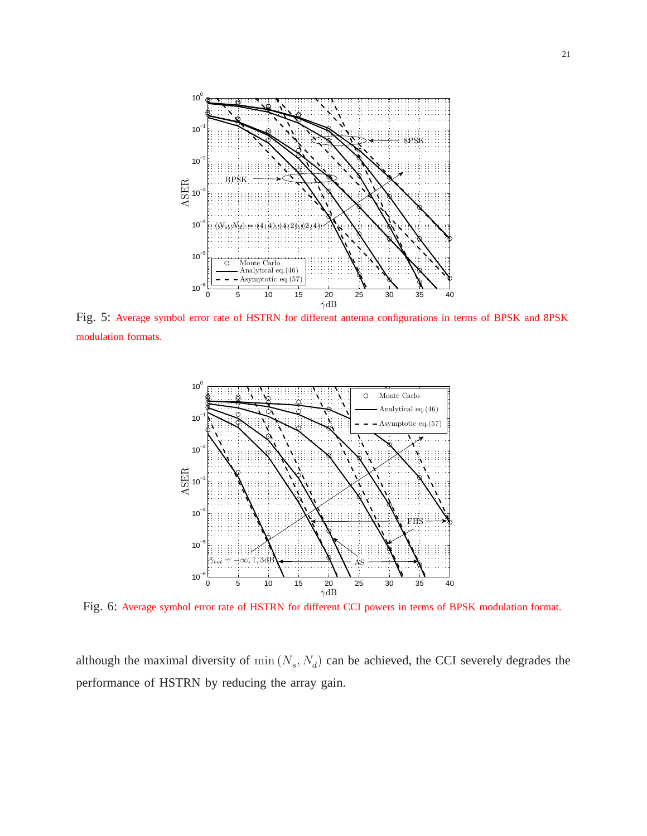

Fig. 5: Average symbol error rate of HSTRN for different antenna configurations in terms of BPSK and 8PSK modulation formats.



Fig. 6: Average symbol error rate of HSTRN for different CCI powers in terms of BPSK modulation format.

although the maximal diversity of  $\min(N_s, N_d)$  can be achieved, the CCI severely degrades the performance of HSTRN by reducing the array gain.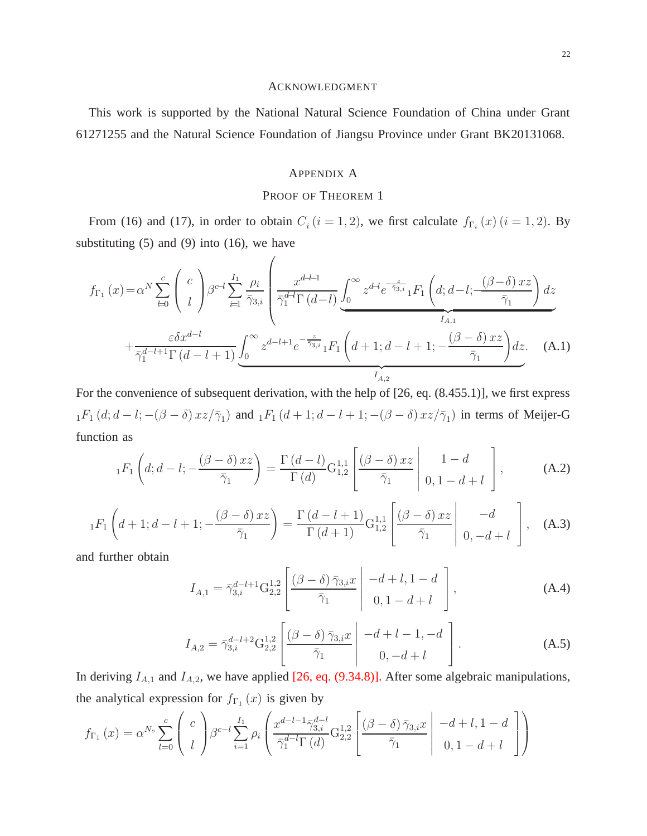#### ACKNOWLEDGMENT

This work is supported by the National Natural Science Foundation of China under Grant 61271255 and the Natural Science Foundation of Jiangsu Province under Grant BK20131068.

#### APPENDIX A

#### PROOF OF THEOREM 1

From (16) and (17), in order to obtain  $C_i$  ( $i = 1, 2$ ), we first calculate  $f_{\Gamma_i}(x)$  ( $i = 1, 2$ ). By substituting  $(5)$  and  $(9)$  into  $(16)$ , we have

 $\overline{a}$ 

$$
f_{\Gamma_{1}}(x) = \alpha^{N} \sum_{l=0}^{c} {c \choose l} \beta^{c-l} \sum_{i=1}^{I_{1}} \frac{\rho_{i}}{\bar{\gamma}_{3,i}} \left( \frac{x^{d-l-1}}{\bar{\gamma}_{1}^{d-l} \Gamma(d-l)} \underbrace{\int_{0}^{\infty} z^{d-l} e^{-\frac{z}{\bar{\gamma}_{3,i}}} {}_{1}F_{1} (d; d-l; \frac{(\beta-\delta) xz}{\bar{\gamma}_{1}}) dz}_{I_{A,1}} + \frac{\varepsilon \delta x^{d-l}}{\bar{\gamma}_{1}^{d-l+1} \Gamma(d-l+1)} \underbrace{\int_{0}^{\infty} z^{d-l+1} e^{-\frac{z}{\bar{\gamma}_{3,i}}} {}_{1}F_{1} (d+1; d-l+1; \frac{(\beta-\delta) xz}{\bar{\gamma}_{1}}) dz}_{I_{A,2}} (A.1)
$$

For the convenience of subsequent derivation, with the help of [26, eq. (8.455.1)], we first express  $_1F_1(d; d-l; -(\beta-\delta)xz/\bar{\gamma}_1)$  and  $_1F_1(d+1; d-l+1; -(\beta-\delta)xz/\bar{\gamma}_1)$  in terms of Meijer-G function as

$$
{}_1F_1\left(d;d-l;-\frac{(\beta-\delta)xz}{\bar{\gamma}_1}\right)=\frac{\Gamma(d-l)}{\Gamma(d)}G_{1,2}^{1,1}\left[\frac{(\beta-\delta)xz}{\bar{\gamma}_1}\middle|\begin{array}{c}1-d\\0,1-d+l\end{array}\right],\qquad\qquad(A.2)
$$

$$
{}_1F_1\left(d+1;d-l+1;-\frac{(\beta-\delta)xz}{\bar{\gamma}_1}\right)=\frac{\Gamma\left(d-l+1\right)}{\Gamma\left(d+1\right)}\mathcal{G}_{1,2}^{1,1}\left[\frac{(\beta-\delta)xz}{\bar{\gamma}_1}\middle|\begin{array}{c}-d\\0,-d+l\end{array}\right],\quad\text{(A.3)}
$$

and further obtain

$$
I_{A,1} = \bar{\gamma}_{3,i}^{d-l+1} \mathcal{G}_{2,2}^{1,2} \left[ \frac{(\beta - \delta) \bar{\gamma}_{3,i} x}{\bar{\gamma}_1} \middle| \begin{array}{c} -d + l, 1 - d \\ 0, 1 - d + l \end{array} \right], \tag{A.4}
$$

$$
I_{A,2} = \bar{\gamma}_{3,i}^{d-l+2} G_{2,2}^{1,2} \left[ \frac{(\beta - \delta) \bar{\gamma}_{3,i} x}{\bar{\gamma}_1} \middle| \begin{array}{c} -d+l-1, -d\\ 0, -d+l \end{array} \right]. \tag{A.5}
$$

In deriving  $I_{A,1}$  and  $I_{A,2}$ , we have applied [26, eq. (9.34.8)]. After some algebraic manipulations, the analytical expression for  $f_{\Gamma_1}(x)$  is given by

$$
f_{\Gamma_1}(x) = \alpha^{N_s} \sum_{l=0}^{c} \begin{pmatrix} c \\ l \end{pmatrix} \beta^{c-l} \sum_{i=1}^{I_1} \rho_i \left( \frac{x^{d-l-1} \bar{\gamma}_{3,i}^{d-l}}{\bar{\gamma}_1^{d-l} \Gamma(d)} G_{2,2}^{1,2} \left[ \frac{(\beta-\delta) \bar{\gamma}_{3,i} x}{\bar{\gamma}_1} \middle| \begin{array}{c} -d+l, 1-d \\ 0, 1-d+l \end{array} \right] \right)
$$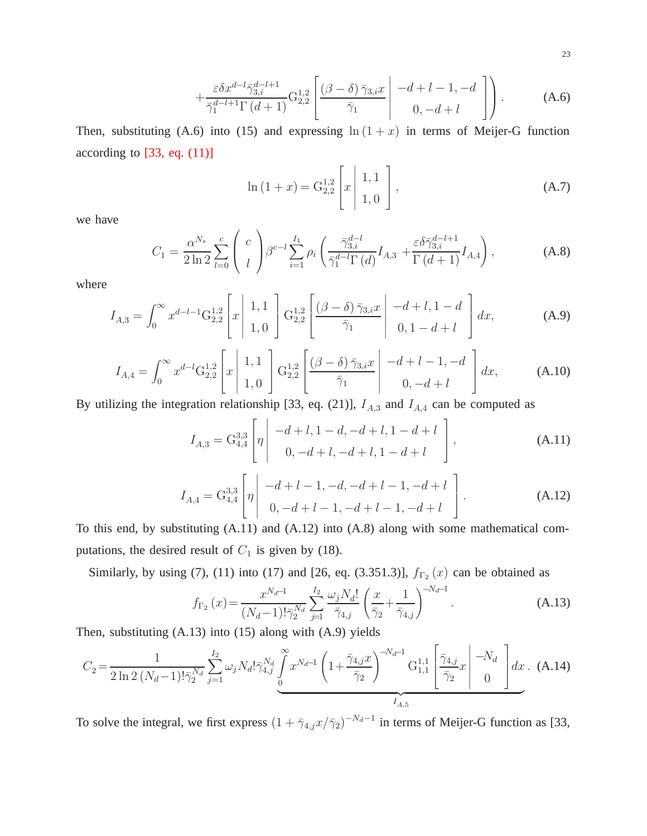$$
+\frac{\varepsilon \delta x^{d-l} \bar{\gamma}_{3,i}^{d-l+1} \Gamma(d+1)}{\bar{\gamma}_1^{d-l+1} \Gamma(d+1)} \mathcal{G}_{2,2}^{1,2} \left[ \frac{(\beta-\delta) \bar{\gamma}_{3,i} x}{\bar{\gamma}_1} \middle| \begin{array}{c} -d+l-1, -d \\ 0, -d+l \end{array} \right] \right). \tag{A.6}
$$

Then, substituting (A.6) into (15) and expressing  $\ln(1+x)$  in terms of Meijer-G function according to  $[33, eq. (11)]$ 

$$
\ln(1+x) = G_{2,2}^{1,2} \left[ x \mid \begin{array}{c} 1,1 \\ 1,0 \end{array} \right],
$$
\n(A.7)

we have

$$
C_1 = \frac{\alpha^{N_s}}{2 \ln 2} \sum_{l=0}^{c} \binom{c}{l} \beta^{c-l} \sum_{i=1}^{I_1} \rho_i \left( \frac{\bar{\gamma}_{3,i}^{d-l}}{\bar{\gamma}_1^{d-l} \Gamma(d)} I_{A,3} + \frac{\varepsilon \delta \bar{\gamma}_{3,i}^{d-l+1}}{\Gamma(d+1)} I_{A,4} \right), \tag{A.8}
$$

where

$$
I_{A,3} = \int_0^\infty x^{d-l-1} G_{2,2}^{1,2} \left[ x \mid \begin{array}{c} 1,1 \\ 1,0 \end{array} \right] G_{2,2}^{1,2} \left[ \frac{(\beta-\delta) \bar{\gamma}_{3,i} x}{\bar{\gamma}_1} \mid \begin{array}{c} -d+l, 1-d \\ 0, 1-d+l \end{array} \right] dx, \tag{A.9}
$$

$$
I_{A,4} = \int_0^\infty x^{d-l} G_{2,2}^{1,2} \left[ x \mid \frac{1,1}{1,0} \right] G_{2,2}^{1,2} \left[ \frac{(\beta-\delta) \bar{\gamma}_{3,i} x}{\bar{\gamma}_1} \mid \frac{-d+l-1,-d}{0,-d+l} \right] dx, \tag{A.10}
$$

By utilizing the integration relationship [33, eq. (21)],  $I_{A,3}$  and  $I_{A,4}$  can be computed as

$$
I_{A,3} = G_{4,4}^{3,3} \left[ \eta \left| \begin{array}{c} -d+l, 1-d, -d+l, 1-d+l \\ 0, -d+l, -d+l, 1-d+l \end{array} \right. \right], \tag{A.11}
$$

$$
I_{A,4} = G_{4,4}^{3,3} \left[ \eta \left| \begin{array}{c} -d+l-1, -d, -d+l-1, -d+l \\ 0, -d+l-1, -d+l-1, -d+l \end{array} \right. \right]. \tag{A.12}
$$

To this end, by substituting (A.11) and (A.12) into (A.8) along with some mathematical computations, the desired result of  $C_1$  is given by (18).

Similarly, by using (7), (11) into (17) and [26, eq. (3.351.3)],  $f_{\Gamma_2}(x)$  can be obtained as

$$
f_{\Gamma_2}(x) = \frac{x^{N_d - 1}}{(N_d - 1)! \bar{\gamma}_2^{N_d}} \sum_{j=1}^{I_2} \frac{\omega_j N_d!}{\bar{\gamma}_{4,j}} \left(\frac{x}{\bar{\gamma}_2} + \frac{1}{\bar{\gamma}_{4,j}}\right)^{-N_d - 1}.
$$
 (A.13)

Then, substituting (A.13) into (15) along with (A.9) yields

$$
C_{2} = \frac{1}{2 \ln 2 \left(N_{d} - 1\right)! \bar{\gamma}_{2}^{N_{d}}} \sum_{j=1}^{I_{2}} \omega_{j} N_{d}! \bar{\gamma}_{4,j}^{N_{d}} \int_{0}^{\infty} x^{N_{d} - 1} \left(1 + \frac{\bar{\gamma}_{4,j} x}{\bar{\gamma}_{2}}\right)^{-N_{d} - 1} \mathcal{G}_{1,1}^{1,1} \left[\frac{\bar{\gamma}_{4,j}}{\bar{\gamma}_{2}} x\right]^{-N_{d}} \left[ \frac{-N_{d}}{0} \right] dx. (A.14)
$$

To solve the integral, we first express  $(1 + \bar{\gamma}_{4,j} x/\bar{\gamma}_2)^{-N_d-1}$  in terms of Meijer-G function as [33,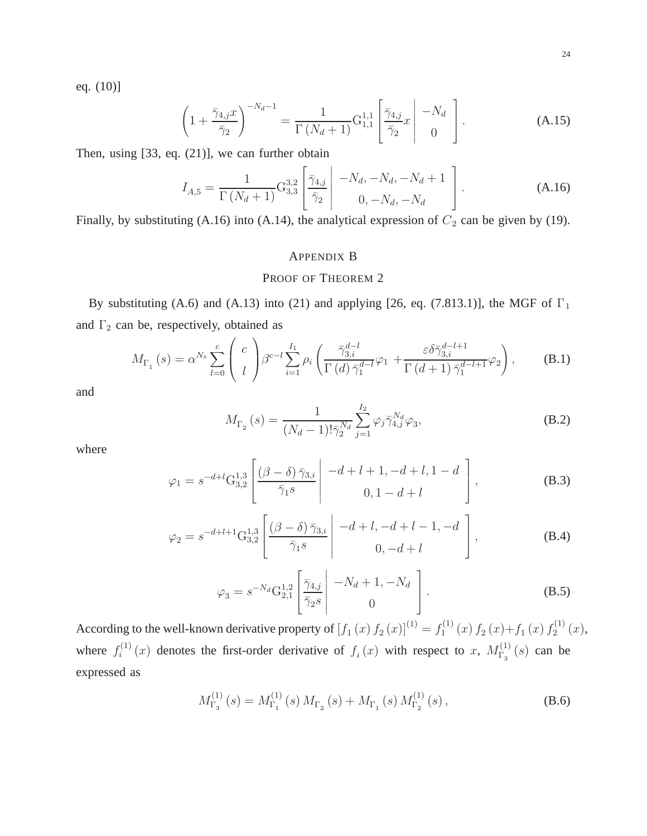eq. (10)]

$$
\left(1+\frac{\bar{\gamma}_{4,j}x}{\bar{\gamma}_2}\right)^{-N_d-1} = \frac{1}{\Gamma\left(N_d+1\right)} \mathcal{G}_{1,1}^{1,1} \left[\frac{\bar{\gamma}_{4,j}}{\bar{\gamma}_2}x \middle| \begin{array}{c} -N_d\\0 \end{array} \right]. \tag{A.15}
$$

Then, using [33, eq. (21)], we can further obtain

$$
I_{A,5} = \frac{1}{\Gamma(N_d+1)} G_{3,3}^{3,2} \left[ \frac{\bar{\gamma}_{4,j}}{\bar{\gamma}_2} \middle| \begin{array}{c} -N_d, -N_d, -N_d+1\\ 0, -N_d, -N_d \end{array} \right]. \tag{A.16}
$$

Finally, by substituting (A.16) into (A.14), the analytical expression of  $C_2$  can be given by (19).

#### APPENDIX B

#### PROOF OF THEOREM 2

By substituting (A.6) and (A.13) into (21) and applying [26, eq. (7.813.1)], the MGF of  $\Gamma_1$ and  $\Gamma_2$  can be, respectively, obtained as

$$
M_{\Gamma_1}(s) = \alpha^{N_s} \sum_{l=0}^{c} \begin{pmatrix} c \\ l \end{pmatrix} \beta^{c-l} \sum_{i=1}^{I_1} \rho_i \left( \frac{\bar{\gamma}_{3,i}^{d-l}}{\Gamma(d)\bar{\gamma}_1^{d-l}} \varphi_1 + \frac{\varepsilon \delta \bar{\gamma}_{3,i}^{d-l+1}}{\Gamma(d+1)\bar{\gamma}_1^{d-l+1}} \varphi_2 \right), \tag{B.1}
$$

and

$$
M_{\Gamma_2}(s) = \frac{1}{(N_d - 1)! \bar{\gamma}_2^{N_d}} \sum_{j=1}^{I_2} \varphi_j \bar{\gamma}_{4,j}^{N_d} \varphi_3,
$$
 (B.2)

where

$$
\varphi_1 = s^{-d+l} \mathcal{G}_{3,2}^{1,3} \left[ \frac{(\beta - \delta) \bar{\gamma}_{3,i}}{\bar{\gamma}_1 s} \middle| \begin{array}{c} -d + l + 1, -d + l, 1 - d \\ 0, 1 - d + l \end{array} \right],
$$
\n(B.3)

$$
\varphi_2 = s^{-d+l+1} G_{3,2}^{1,3} \left[ \frac{(\beta - \delta) \bar{\gamma}_{3,i}}{\bar{\gamma}_1 s} \middle| \begin{array}{c} -d+l, -d+l-1, -d \\ 0, -d+l \end{array} \right],
$$
\n(B.4)

$$
\varphi_3 = s^{-N_d} G_{2,1}^{1,2} \left[ \frac{\bar{\gamma}_{4,j}}{\bar{\gamma}_2 s} \middle| \begin{array}{c} -N_d + 1, -N_d \\ 0 \end{array} \right].
$$
 (B.5)

According to the well-known derivative property of  $[f_1(x) f_2(x)]^{(1)} = f_1^{(1)}$  $f_1^{(1)}(x) f_2(x)+f_1(x) f_2^{(1)}$  $2^{(1)}(x),$ where  $f_i^{(1)}$  $i^{(1)}(x)$  denotes the first-order derivative of  $f_i(x)$  with respect to x,  $M_{\Gamma_3}^{(1)}$  $\Gamma_3^{(1)}(s)$  can be expressed as

$$
M_{\Gamma_3}^{(1)}\left(s\right) = M_{\Gamma_1}^{(1)}\left(s\right) M_{\Gamma_2}\left(s\right) + M_{\Gamma_1}\left(s\right) M_{\Gamma_2}^{(1)}\left(s\right),\tag{B.6}
$$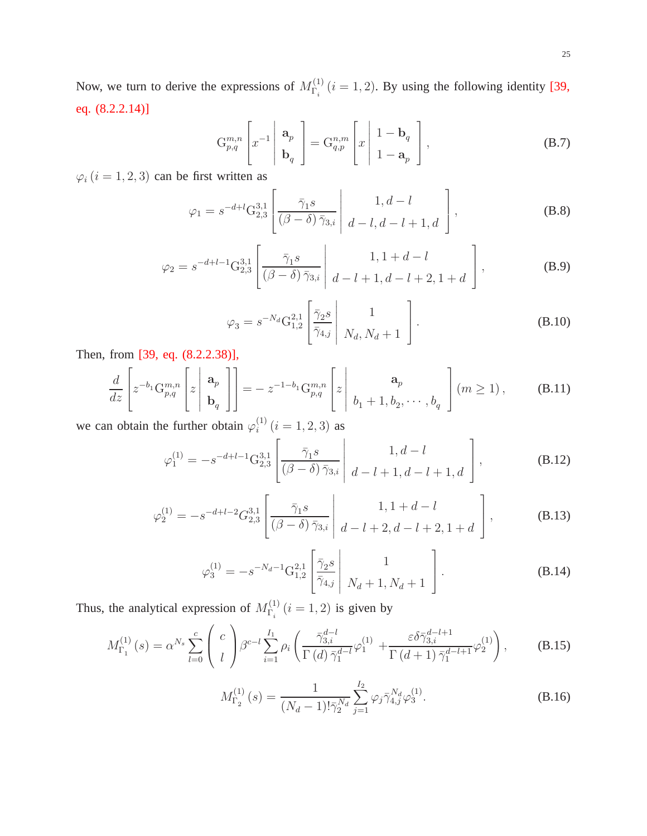Now, we turn to derive the expressions of  $M_{\Gamma}^{(1)}$  $\Gamma_i^{(1)}$  (*i* = 1, 2). By using the following identity [39, eq. (8.2.2.14)]

$$
G_{p,q}^{m,n} \left[ x^{-1} \left| \begin{array}{c} \mathbf{a}_p \\ \mathbf{b}_q \end{array} \right| = G_{q,p}^{n,m} \left[ x \left| \begin{array}{c} 1 - \mathbf{b}_q \\ 1 - \mathbf{a}_p \end{array} \right| \right],
$$
\n(B.7)

 $\varphi_i$   $(i=1,2,3)$  can be first written as

$$
\varphi_1 = s^{-d+l} \mathcal{G}_{2,3}^{3,1} \left[ \frac{\bar{\gamma}_1 s}{(\beta - \delta) \bar{\gamma}_{3,i}} \middle| \begin{array}{c} 1, d - l \\ d - l, d - l + 1, d \end{array} \right],
$$
\n(B.8)

$$
\varphi_2 = s^{-d+l-1} G_{2,3}^{3,1} \left[ \frac{\bar{\gamma}_1 s}{(\beta - \delta) \bar{\gamma}_{3,i}} \middle| \begin{array}{c} 1, 1+d-l \\ d-l+1, d-l+2, 1+d \end{array} \right],
$$
(B.9)

$$
\varphi_3 = s^{-N_d} G_{1,2}^{2,1} \left[ \frac{\bar{\gamma}_2 s}{\bar{\gamma}_{4,j}} \middle| \begin{array}{c} 1 \\ N_d, N_d + 1 \end{array} \right].
$$
\n(B.10)

Then, from [39, eq. (8.2.2.38)],

$$
\frac{d}{dz}\left[z^{-b_1}\mathbf{G}_{p,q}^{m,n}\left[z\left|\begin{array}{c}\mathbf{a}_p\\ \mathbf{b}_q\end{array}\right|\right]\right] = -z^{-1-b_1}\mathbf{G}_{p,q}^{m,n}\left[z\left|\begin{array}{c}\mathbf{a}_p\\ b_1+1,b_2,\cdots,b_q\end{array}\right|\left(m\geq 1\right),\right]
$$
(B.11)

we can obtain the further obtain  $\varphi_i^{(1)}$  $i^{(1)}$   $(i = 1, 2, 3)$  as

$$
\varphi_1^{(1)} = -s^{-d+l-1} G_{2,3}^{3,1} \left[ \frac{\bar{\gamma}_1 s}{(\beta - \delta) \bar{\gamma}_{3,i}} \middle| \begin{array}{c} 1, d - l \\ d - l + 1, d - l + 1, d \end{array} \right],
$$
\n(B.12)

$$
\varphi_2^{(1)} = -s^{-d+l-2} G_{2,3}^{3,1} \left[ \frac{\bar{\gamma}_1 s}{(\beta - \delta) \bar{\gamma}_{3,i}} \middle| \begin{array}{c} 1, 1 + d - l \\ d - l + 2, d - l + 2, 1 + d \end{array} \right],
$$
(B.13)

$$
\varphi_3^{(1)} = -s^{-N_d - 1} G_{1,2}^{2,1} \left[ \frac{\bar{\gamma}_2 s}{\bar{\gamma}_{4,j}} \middle| \begin{array}{c} 1 \\ N_d + 1, N_d + 1 \end{array} \right].
$$
 (B.14)

Thus, the analytical expression of  $M_{\Gamma}^{(1)}$  $\int_{\Gamma_i}^{(1)} (i = 1, 2)$  is given by

$$
M_{\Gamma_1}^{(1)}(s) = \alpha^{N_s} \sum_{l=0}^{c} \begin{pmatrix} c \\ l \end{pmatrix} \beta^{c-l} \sum_{i=1}^{I_1} \rho_i \left( \frac{\bar{\gamma}_{3,i}^{d-l}}{\Gamma(d)\bar{\gamma}_1^{d-l}} \varphi_1^{(1)} + \frac{\varepsilon \delta \bar{\gamma}_{3,i}^{d-l+1}}{\Gamma(d+1)\bar{\gamma}_1^{d-l+1}} \varphi_2^{(1)} \right), \tag{B.15}
$$

$$
M_{\Gamma_2}^{(1)}(s) = \frac{1}{(N_d - 1)!\bar{\gamma}_2^{N_d}} \sum_{j=1}^{I_2} \varphi_j \bar{\gamma}_{4,j}^{N_d} \varphi_3^{(1)}.
$$
 (B.16)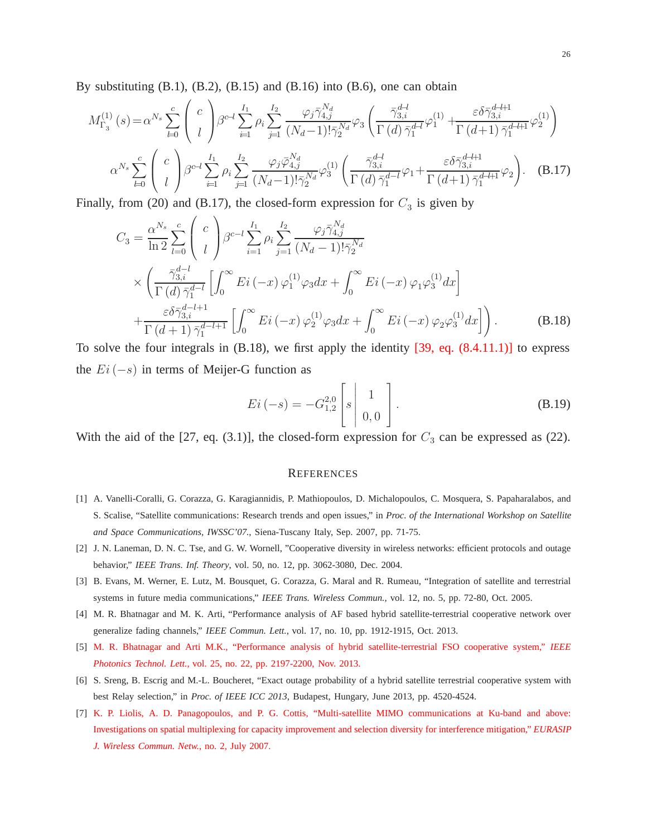By substituting  $(B.1)$ ,  $(B.2)$ ,  $(B.15)$  and  $(B.16)$  into  $(B.6)$ , one can obtain

$$
M_{\Gamma_3}^{(1)}(s) = \alpha^{N_s} \sum_{l=0}^{c} \binom{c}{l} \beta^{c-l} \sum_{i=1}^{I_1} \rho_i \sum_{j=1}^{I_2} \frac{\varphi_j \bar{\gamma}_{4,j}^{N_d}}{(N_d-1)! \bar{\gamma}_2^{N_d}} \varphi_3 \left( \frac{\bar{\gamma}_{3,i}^{d-l}}{\Gamma(d) \bar{\gamma}_1^{d-l}} \varphi_1^{(1)} + \frac{\varepsilon \delta \bar{\gamma}_{3,i}^{d-l+1}}{\Gamma(d+1) \bar{\gamma}_1^{d-l+1}} \varphi_2^{(1)} \right)
$$

$$
\alpha^{N_s} \sum_{l=0}^{c} \binom{c}{l} \beta^{c-l} \sum_{i=1}^{I_1} \rho_i \sum_{j=1}^{I_2} \frac{\varphi_j \bar{\varphi}_{4,j}^{N_d}}{(N_d-1)! \bar{\gamma}_2^{N_d}} \varphi_3^{(1)} \left( \frac{\bar{\gamma}_{3,i}^{d-l}}{\Gamma(d) \bar{\gamma}_1^{d-l}} \varphi_1 + \frac{\varepsilon \delta \bar{\gamma}_{3,i}^{d-l+1}}{\Gamma(d+1) \bar{\gamma}_1^{d-l+1}} \varphi_2 \right). \quad (B.17)
$$

Finally, from (20) and (B.17), the closed-form expression for  $C_3$  is given by

$$
C_{3} = \frac{\alpha^{N_{s}}}{\ln 2} \sum_{l=0}^{c} \binom{c}{l} \beta^{c-l} \sum_{i=1}^{I_{1}} \rho_{i} \sum_{j=1}^{I_{2}} \frac{\varphi_{j} \bar{\gamma}_{4,j}^{N_{d}}}{(N_{d}-1)! \bar{\gamma}_{2}^{N_{d}}}
$$
  
 
$$
\times \left( \frac{\bar{\gamma}_{3,i}^{d-l}}{\Gamma(d) \bar{\gamma}_{1}^{d-l}} \left[ \int_{0}^{\infty} Ei(-x) \varphi_{1}^{(1)} \varphi_{3} dx + \int_{0}^{\infty} Ei(-x) \varphi_{1} \varphi_{3}^{(1)} dx \right] + \frac{\varepsilon \delta \bar{\gamma}_{3,i}^{d-l+1}}{\Gamma(d+1) \bar{\gamma}_{1}^{d-l+1}} \left[ \int_{0}^{\infty} Ei(-x) \varphi_{2}^{(1)} \varphi_{3} dx + \int_{0}^{\infty} Ei(-x) \varphi_{2} \varphi_{3}^{(1)} dx \right]. \tag{B.18}
$$

To solve the four integrals in  $(B.18)$ , we first apply the identity  $[39, eq. (8.4.11.1)]$  to express the  $E_i(-s)$  in terms of Meijer-G function as

$$
Ei(-s) = -G_{1,2}^{2,0} \begin{bmatrix} 1 \\ s & 0, 0 \end{bmatrix}.
$$
 (B.19)

With the aid of the [27, eq. (3.1)], the closed-form expression for  $C_3$  can be expressed as (22).

#### **REFERENCES**

- [1] A. Vanelli-Coralli, G. Corazza, G. Karagiannidis, P. Mathiopoulos, D. Michalopoulos, C. Mosquera, S. Papaharalabos, and S. Scalise, "Satellite communications: Research trends and open issues," in *Proc. of the International Workshop on Satellite and Space Communications, IWSSC'07.*, Siena-Tuscany Italy, Sep. 2007, pp. 71-75.
- [2] J. N. Laneman, D. N. C. Tse, and G. W. Wornell, "Cooperative diversity in wireless networks: efficient protocols and outage behavior," *IEEE Trans. Inf. Theory*, vol. 50, no. 12, pp. 3062-3080, Dec. 2004.
- [3] B. Evans, M. Werner, E. Lutz, M. Bousquet, G. Corazza, G. Maral and R. Rumeau, "Integration of satellite and terrestrial systems in future media communications," *IEEE Trans. Wireless Commun.*, vol. 12, no. 5, pp. 72-80, Oct. 2005.
- [4] M. R. Bhatnagar and M. K. Arti, "Performance analysis of AF based hybrid satellite-terrestrial cooperative network over generalize fading channels," *IEEE Commun. Lett.*, vol. 17, no. 10, pp. 1912-1915, Oct. 2013.
- [5] M. R. Bhatnagar and Arti M.K., "Performance analysis of hybrid satellite-terrestrial FSO cooperative system," *IEEE Photonics Technol. Lett.*, vol. 25, no. 22, pp. 2197-2200, Nov. 2013.
- [6] S. Sreng, B. Escrig and M.-L. Boucheret, "Exact outage probability of a hybrid satellite terrestrial cooperative system with best Relay selection," in *Proc. of IEEE ICC 2013*, Budapest, Hungary, June 2013, pp. 4520-4524.
- [7] K. P. Liolis, A. D. Panagopoulos, and P. G. Cottis, "Multi-satellite MIMO communications at Ku-band and above: Investigations on spatial multiplexing for capacity improvement and selection diversity for interference mitigation," *EURASIP J. Wireless Commun. Netw.*, no. 2, July 2007.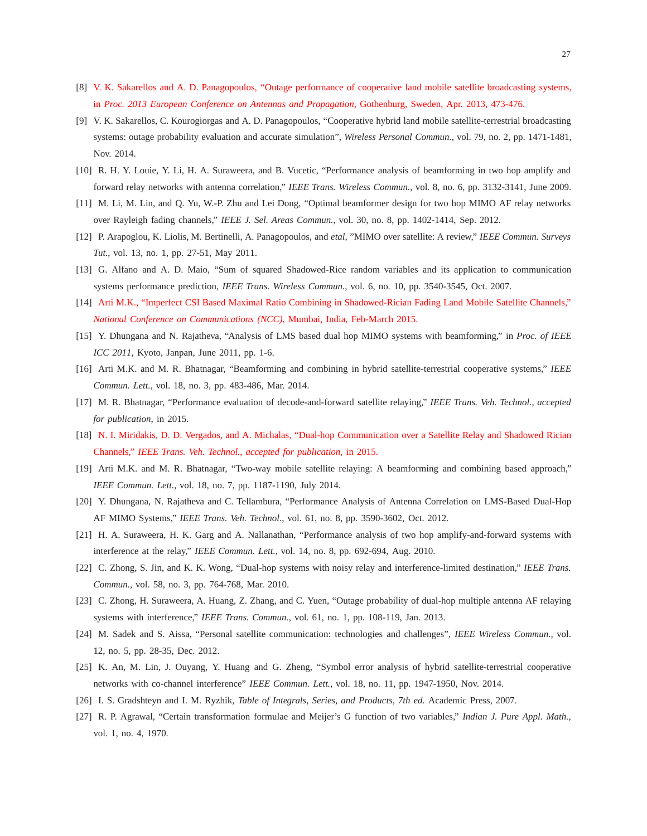- [8] V. K. Sakarellos and A. D. Panagopoulos, "Outage performance of cooperative land mobile satellite broadcasting systems, in *Proc. 2013 European Conference on Antennas and Propagation*, Gothenburg, Sweden, Apr. 2013, 473-476.
- [9] V. K. Sakarellos, C. Kourogiorgas and A. D. Panagopoulos, "Cooperative hybrid land mobile satellite-terrestrial broadcasting systems: outage probability evaluation and accurate simulation", *Wireless Personal Commun.*, vol. 79, no. 2, pp. 1471-1481, Nov. 2014.
- [10] R. H. Y. Louie, Y. Li, H. A. Suraweera, and B. Vucetic, "Performance analysis of beamforming in two hop amplify and forward relay networks with antenna correlation," *IEEE Trans. Wireless Commun.*, vol. 8, no. 6, pp. 3132-3141, June 2009.
- [11] M. Li, M. Lin, and Q. Yu, W.-P. Zhu and Lei Dong, "Optimal beamformer design for two hop MIMO AF relay networks over Rayleigh fading channels," *IEEE J. Sel. Areas Commun.*, vol. 30, no. 8, pp. 1402-1414, Sep. 2012.
- [12] P. Arapoglou, K. Liolis, M. Bertinelli, A. Panagopoulos, and *etal*, "MIMO over satellite: A review," *IEEE Commun. Surveys Tut.*, vol. 13, no. 1, pp. 27-51, May 2011.
- [13] G. Alfano and A. D. Maio, "Sum of squared Shadowed-Rice random variables and its application to communication systems performance prediction, *IEEE Trans. Wireless Commun.*, vol. 6, no. 10, pp. 3540-3545, Oct. 2007.
- [14] Arti M.K., "Imperfect CSI Based Maximal Ratio Combining in Shadowed-Rician Fading Land Mobile Satellite Channels," *National Conference on Communications (NCC)*, Mumbai, India, Feb-March 2015.
- [15] Y. Dhungana and N. Rajatheva, "Analysis of LMS based dual hop MIMO systems with beamforming," in *Proc. of IEEE ICC 2011*, Kyoto, Janpan, June 2011, pp. 1-6.
- [16] Arti M.K. and M. R. Bhatnagar, "Beamforming and combining in hybrid satellite-terrestrial cooperative systems," *IEEE Commun. Lett.*, vol. 18, no. 3, pp. 483-486, Mar. 2014.
- [17] M. R. Bhatnagar, "Performance evaluation of decode-and-forward satellite relaying," *IEEE Trans. Veh. Technol.*, *accepted for publication*, in 2015.
- [18] N. I. Miridakis, D. D. Vergados, and A. Michalas, "Dual-hop Communication over a Satellite Relay and Shadowed Rician Channels," *IEEE Trans. Veh. Technol.*, *accepted for publication*, in 2015.
- [19] Arti M.K. and M. R. Bhatnagar, "Two-way mobile satellite relaying: A beamforming and combining based approach," *IEEE Commun. Lett.*, vol. 18, no. 7, pp. 1187-1190, July 2014.
- [20] Y. Dhungana, N. Rajatheva and C. Tellambura, "Performance Analysis of Antenna Correlation on LMS-Based Dual-Hop AF MIMO Systems," *IEEE Trans. Veh. Technol.*, vol. 61, no. 8, pp. 3590-3602, Oct. 2012.
- [21] H. A. Suraweera, H. K. Garg and A. Nallanathan, "Performance analysis of two hop amplify-and-forward systems with interference at the relay," *IEEE Commun. Lett.*, vol. 14, no. 8, pp. 692-694, Aug. 2010.
- [22] C. Zhong, S. Jin, and K. K. Wong, "Dual-hop systems with noisy relay and interference-limited destination," *IEEE Trans. Commun.*, vol. 58, no. 3, pp. 764-768, Mar. 2010.
- [23] C. Zhong, H. Suraweera, A. Huang, Z. Zhang, and C. Yuen, "Outage probability of dual-hop multiple antenna AF relaying systems with interference," *IEEE Trans. Commun.*, vol. 61, no. 1, pp. 108-119, Jan. 2013.
- [24] M. Sadek and S. Aissa, "Personal satellite communication: technologies and challenges", *IEEE Wireless Commun.*, vol. 12, no. 5, pp. 28-35, Dec. 2012.
- [25] K. An, M. Lin, J. Ouyang, Y. Huang and G. Zheng, "Symbol error analysis of hybrid satellite-terrestrial cooperative networks with co-channel interference" *IEEE Commun. Lett.*, vol. 18, no. 11, pp. 1947-1950, Nov. 2014.
- [26] I. S. Gradshteyn and I. M. Ryzhik, *Table of Integrals, Series, and Products, 7th ed.* Academic Press, 2007.
- [27] R. P. Agrawal, "Certain transformation formulae and Meijer's G function of two variables," *Indian J. Pure Appl. Math.*, vol. 1, no. 4, 1970.